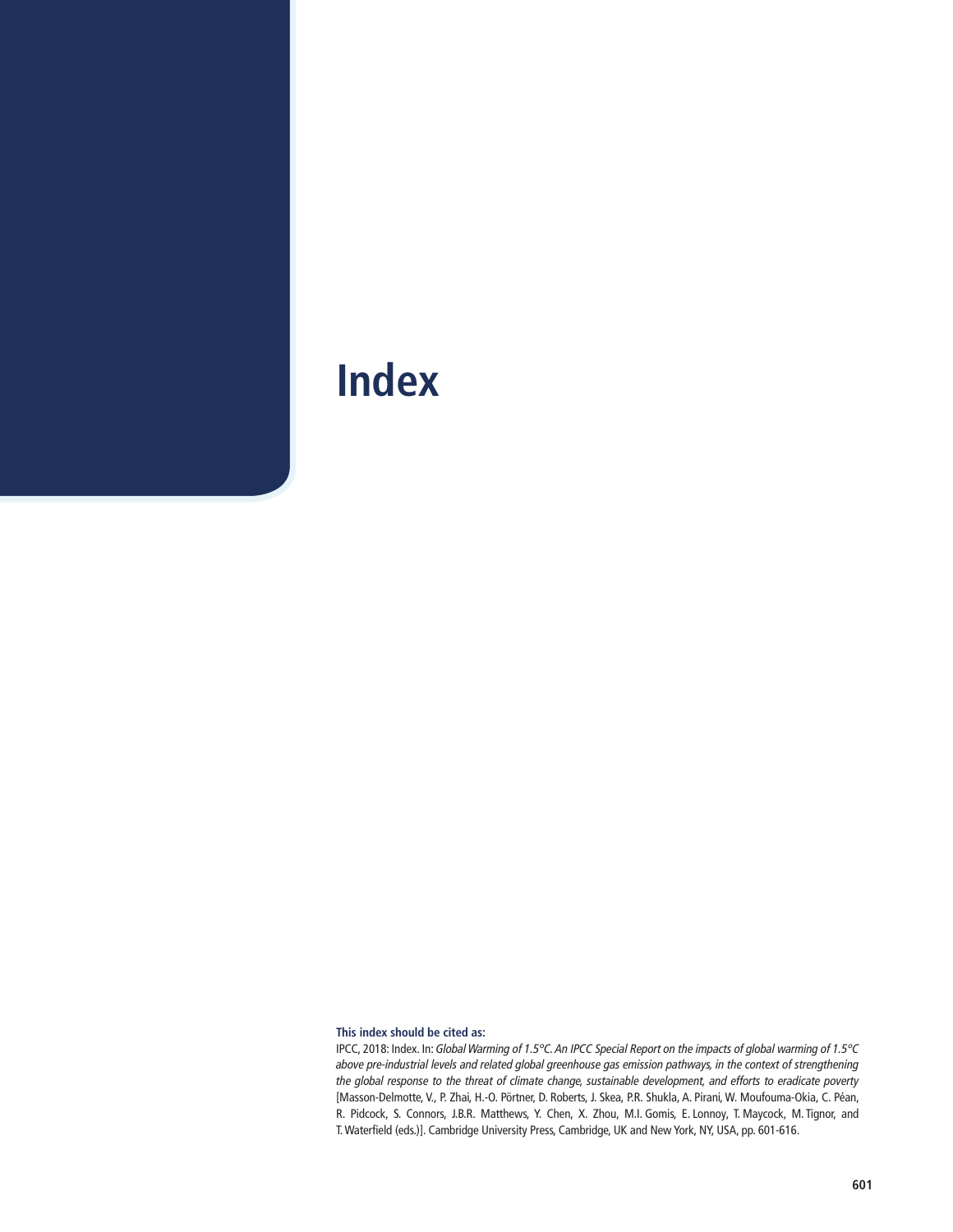#### **This index should be cited as:**

IPCC, 2018: Index. In: Global Warming of 1.5°C. An IPCC Special Report on the impacts of global warming of 1.5°C above pre-industrial levels and related global greenhouse gas emission pathways, in the context of strengthening the global response to the threat of climate change, sustainable development, and efforts to eradicate poverty [Masson-Delmotte, V., P. Zhai, H.-O. Pörtner, D. Roberts, J. Skea, P.R. Shukla, A. Pirani, W. Moufouma-Okia, C. Péan, R. Pidcock, S. Connors, J.B.R. Matthews, Y. Chen, X. Zhou, M.I. Gomis, E. Lonnoy, T. Maycock, M. Tignor, and T. Waterfield (eds.)]. Cambridge University Press, Cambridge, UK and New York, NY, USA, pp. 601-616.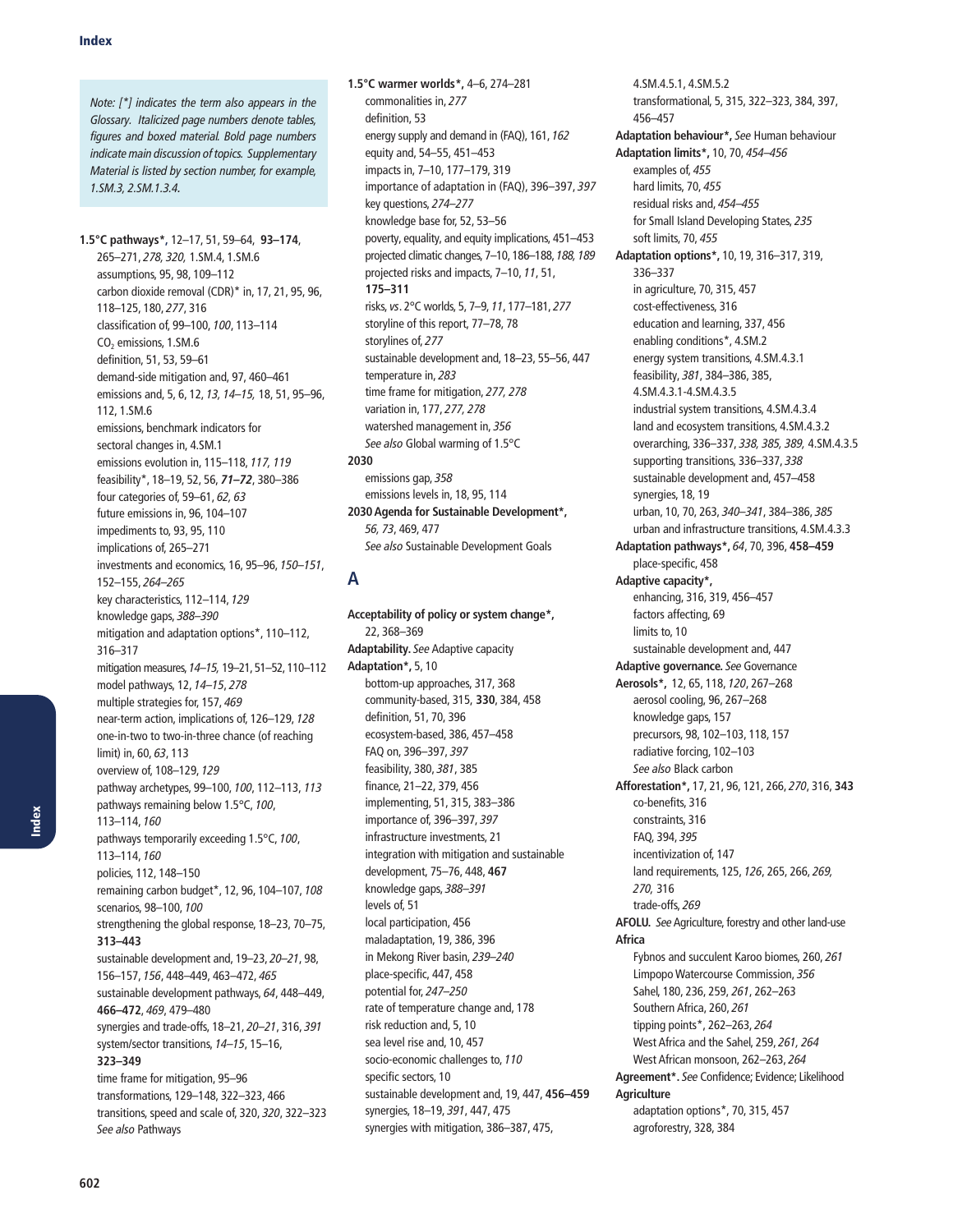Note: [\*] indicates the term also appears in the Glossary. Italicized page numbers denote tables, figures and boxed material. Bold page numbers indicate main discussion of topics. Supplementary Material is listed by section number, for example, 1.SM.3, 2.SM.1.3.4.

**1.5°C pathways\*,** 12–17, 51, 59–64, **93–174**, 265–271, 278, 320, 1.SM.4, 1.SM.6 assumptions, 95, 98, 109–112 carbon dioxide removal (CDR)\* in, 17, 21, 95, 96, 118–125, 180, 277, 316 classification of, 99–100, 100, 113–114 CO<sub>2</sub> emissions, 1.SM.6 definition, 51, 53, 59–61 demand-side mitigation and, 97, 460–461 emissions and, 5, 6, 12, 13, 14–15, 18, 51, 95–96, 112, 1.SM.6 emissions, benchmark indicators for sectoral changes in, 4.SM.1 emissions evolution in, 115–118, 117, 119 feasibility\*, 18–19, 52, 56, *71–72*, 380–386 four categories of, 59–61, 62, 63 future emissions in, 96, 104–107 impediments to, 93, 95, 110 implications of, 265–271 investments and economics, 16, 95–96, 150–151, 152–155, 264–265 key characteristics, 112–114, 129 knowledge gaps, 388–390 mitigation and adaptation options\*, 110–112, 316–317 mitigation measures, 14–15, 19–21, 51–52, 110–112 model pathways, 12, 14–15, 278 multiple strategies for, 157, 469 near-term action, implications of, 126–129, 128 one-in-two to two-in-three chance (of reaching  $limit)$  in, 60, 63, 113 overview of, 108–129, 129 pathway archetypes, 99–100, 100, 112–113, 113 pathways remaining below 1.5°C, 100, 113–114, 160 pathways temporarily exceeding 1.5°C, 100, 113–114, 160 policies, 112, 148–150 remaining carbon budget\*, 12, 96, 104–107, 108 scenarios, 98–100, 100 strengthening the global response, 18–23, 70–75, **313–443** sustainable development and, 19–23, 20–21, 98, 156–157, 156, 448–449, 463–472, 465 sustainable development pathways, 64, 448–449, **466–472**, 469, 479–480 synergies and trade-offs, 18–21, 20–21, 316, 391 system/sector transitions, 14–15, 15–16, **323–349** time frame for mitigation, 95–96 transformations, 129–148, 322–323, 466 transitions, speed and scale of, 320, 320, 322–323 See also Pathways

**1.5°C warmer worlds\*,** 4–6, 274–281 commonalities in, 277 definition, 53 energy supply and demand in (FAQ), 161, 162 equity and, 54–55, 451–453 impacts in, 7–10, 177–179, 319 importance of adaptation in (FAQ), 396–397, 397 key questions, 274–277 knowledge base for, 52, 53–56 poverty, equality, and equity implications, 451–453 projected climatic changes, 7–10, 186–188, 188, 189 projected risks and impacts, 7–10, 11, 51, **175–311** risks, vs. 2°C worlds, 5, 7–9, 11, 177–181, 277 storyline of this report, 77–78, 78 storylines of, 277 sustainable development and, 18–23, 55–56, 447 temperature in, 283 time frame for mitigation, 277, 278 variation in, 177, 277, 278 watershed management in, 356 See also Global warming of 1.5°C **2030** emissions gap, 358 emissions levels in, 18, 95, 114 **2030 Agenda for Sustainable Development\*,**

See also Sustainable Development Goals **A**

56, 73, 469, 477

**Acceptability of policy or system change\*,**  22, 368–369 **Adaptability.** See Adaptive capacity **Adaptation\*,** 5, 10 bottom-up approaches, 317, 368 community-based, 315, **330**, 384, 458 definition, 51, 70, 396 ecosystem-based, 386, 457–458 FAQ on, 396–397, 397 feasibility, 380, 381, 385 finance, 21–22, 379, 456 implementing, 51, 315, 383–386 importance of, 396–397, 397 infrastructure investments, 21 integration with mitigation and sustainable development, 75–76, 448, **467** knowledge gaps, 388–391 levels of, 51 local participation, 456 maladaptation, 19, 386, 396 in Mekong River basin, 239–240 place-specific, 447, 458 potential for, 247–250 rate of temperature change and, 178 risk reduction and, 5, 10 sea level rise and, 10, 457 socio-economic challenges to, 110 specific sectors, 10 sustainable development and, 19, 447, **456–459** synergies, 18–19, 391, 447, 475 synergies with mitigation, 386–387, 475,

4.SM.4.5.1, 4.SM.5.2 transformational, 5, 315, 322–323, 384, 397, 456–457 **Adaptation behaviour\*,** See Human behaviour **Adaptation limits\*,** 10, 70, 454–456 examples of, 455 hard limits, 70, 455 residual risks and, 454–455 for Small Island Developing States, 235 soft limits, 70, 455 **Adaptation options\*,** 10, 19, 316–317, 319, 336–337 in agriculture, 70, 315, 457 cost-effectiveness, 316 education and learning, 337, 456 enabling conditions\*, 4.SM.2 energy system transitions, 4.SM.4.3.1 feasibility, 381, 384–386, 385, 4.SM.4.3.1-4.SM.4.3.5 industrial system transitions, 4.SM.4.3.4 land and ecosystem transitions, 4.SM.4.3.2 overarching, 336–337, 338, 385, 389, 4.SM.4.3.5 supporting transitions, 336–337, 338 sustainable development and, 457–458 synergies, 18, 19 urban, 10, 70, 263, 340–341, 384–386, 385 urban and infrastructure transitions, 4.SM.4.3.3 **Adaptation pathways\*,** 64, 70, 396, **458–459** place-specific, 458 **Adaptive capacity\*,** enhancing, 316, 319, 456–457 factors affecting, 69 limits to, 10 sustainable development and, 447 **Adaptive governance.** See Governance **Aerosols\*,** 12, 65, 118, 120, 267–268 aerosol cooling, 96, 267–268 knowledge gaps, 157 precursors, 98, 102–103, 118, 157 radiative forcing, 102–103 See also Black carbon **Afforestation\*,** 17, 21, 96, 121, 266, 270, 316, **343** co-benefits, 316 constraints, 316 FAQ, 394, 395 incentivization of, 147 land requirements, 125, 126, 265, 266, 269, 270, 316 trade-offs, 269 **AFOLU.** See Agriculture, forestry and other land-use **Africa** Fybnos and succulent Karoo biomes, 260, 261 Limpopo Watercourse Commission, 356 Sahel, 180, 236, 259, 261, 262–263 Southern Africa, 260, 261 tipping points\*, 262–263, 264 West Africa and the Sahel, 259, 261, 264 West African monsoon, 262–263, 264 **Agreement\*.** See Confidence; Evidence; Likelihood **Agriculture** adaptation options\*, 70, 315, 457 agroforestry, 328, 384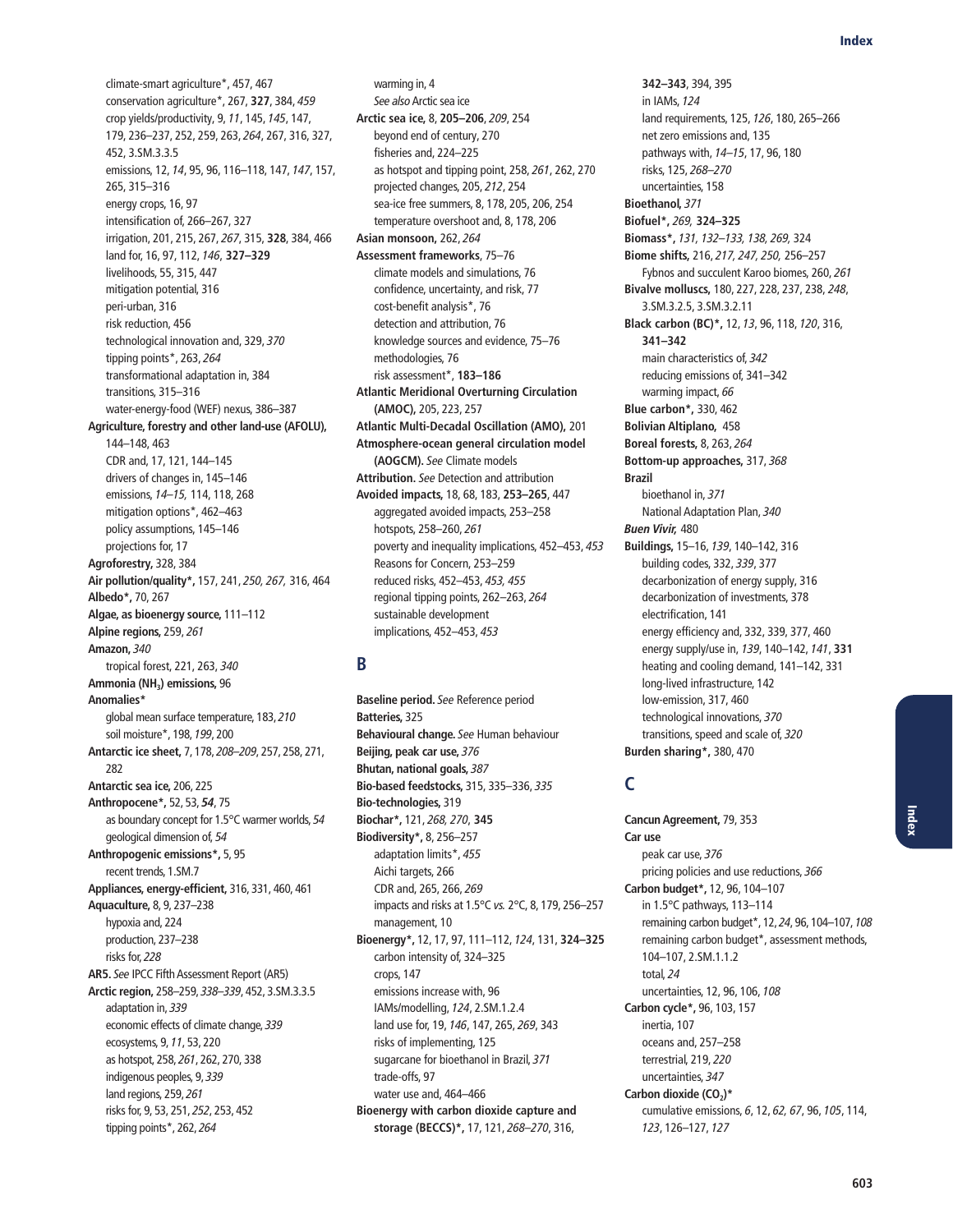climate-smart agriculture\*, 457, 467 conservation agriculture\*, 267, **327**, 384, 459 crop yields/productivity, 9, 11, 145, 145, 147, 179, 236–237, 252, 259, 263, 264, 267, 316, 327, 452, 3.SM.3.3.5 emissions, 12, 14, 95, 96, 116–118, 147, 147, 157, 265, 315–316 energy crops, 16, 97 intensification of, 266–267, 327 irrigation, 201, 215, 267, 267, 315, **328**, 384, 466 land for, 16, 97, 112, 146, **327–329** livelihoods, 55, 315, 447 mitigation potential, 316 peri-urban, 316 risk reduction, 456 technological innovation and, 329, 370 tipping points\*, 263, 264 transformational adaptation in, 384 transitions, 315–316 water-energy-food (WEF) nexus, 386–387 **Agriculture, forestry and other land-use (AFOLU),**  144–148, 463 CDR and, 17, 121, 144–145 drivers of changes in, 145–146 emissions, 14–15, 114, 118, 268 mitigation options\*, 462–463 policy assumptions, 145–146 projections for, 17 **Agroforestry,** 328, 384 **Air pollution/quality\*,** 157, 241, 250, 267, 316, 464 **Albedo\*,** 70, 267 **Algae, as bioenergy source,** 111–112 **Alpine regions,** 259, 261 **Amazon,** 340 tropical forest, 221, 263, 340 **Ammonia (NH3) emissions,** 96 **Anomalies\***  global mean surface temperature, 183, 210 soil moisture\*, 198, 199, 200 **Antarctic ice sheet,** 7, 178, 208–209, 257, 258, 271, 282 **Antarctic sea ice,** 206, 225 **Anthropocene\*,** 52, 53, *54*, 75 as boundary concept for 1.5°C warmer worlds, 54 geological dimension of, 54 **Anthropogenic emissions\*,** 5, 95 recent trends, 1.SM.7 **Appliances, energy-efficient,** 316, 331, 460, 461 **Aquaculture,** 8, 9, 237–238 hypoxia and, 224 production, 237–238 risks for, 228 **AR5.** See IPCC Fifth Assessment Report (AR5) **Arctic region,** 258–259, 338–339, 452, 3.SM.3.3.5 adaptation in, 339 economic effects of climate change, 339 ecosystems, 9, 11, 53, 220 as hotspot, 258, 261, 262, 270, 338 indigenous peoples, 9, 339 land regions, 259, 261 risks for, 9, 53, 251, 252, 253, 452 tipping points\*, 262, 264

warming in, 4 See also Arctic sea ice **Arctic sea ice,** 8, **205–206**, 209, 254 beyond end of century, 270 fisheries and, 224–225 as hotspot and tipping point, 258, 261, 262, 270 projected changes, 205, 212, 254 sea-ice free summers, 8, 178, 205, 206, 254 temperature overshoot and, 8, 178, 206 **Asian monsoon,** 262, 264 **Assessment frameworks**, 75–76 climate models and simulations, 76 confidence, uncertainty, and risk, 77 cost-benefit analysis\*, 76 detection and attribution, 76 knowledge sources and evidence, 75–76 methodologies, 76 risk assessment\*, **183–186 Atlantic Meridional Overturning Circulation (AMOC),** 205, 223, 257 **Atlantic Multi-Decadal Oscillation (AMO),** 201 **Atmosphere-ocean general circulation model (AOGCM).** See Climate models **Attribution.** See Detection and attribution **Avoided impacts,** 18, 68, 183, **253–265**, 447 aggregated avoided impacts, 253–258 hotspots, 258–260, 261 poverty and inequality implications, 452–453, 453 Reasons for Concern, 253–259 reduced risks, 452–453, 453, 455 regional tipping points, 262–263, 264 sustainable development implications, 452–453, 453

# **B**

**Baseline period.** See Reference period **Batteries,** 325 **Behavioural change.** See Human behaviour **Beijing, peak car use,** 376 **Bhutan, national goals,** 387 **Bio-based feedstocks,** 315, 335–336, 335 **Bio-technologies,** 319 **Biochar\*,** 121, 268, 270, **345 Biodiversity\*,** 8, 256–257 adaptation limits\*, 455 Aichi targets, 266 CDR and, 265, 266, 269 impacts and risks at 1.5°C vs. 2°C, 8, 179, 256–257 management, 10 **Bioenergy\*,** 12, 17, 97, 111–112, 124, 131, **324–325** carbon intensity of, 324–325 crops, 147 emissions increase with, 96 IAMs/modelling, 124, 2.SM.1.2.4 land use for, 19, 146, 147, 265, 269, 343 risks of implementing, 125 sugarcane for bioethanol in Brazil, 371 trade-offs, 97 water use and, 464–466 **Bioenergy with carbon dioxide capture and storage (BECCS)\*,** 17, 121, 268–270, 316,

**342–343**, 394, 395 in IAMs, 124 land requirements, 125, 126, 180, 265–266 net zero emissions and, 135 pathways with, 14–15, 17, 96, 180 risks, 125, 268–270 uncertainties, 158 **Bioethanol,** 371 **Biofuel\*,** 269, **324–325 Biomass\*,** 131, 132–133, 138, 269, 324 **Biome shifts,** 216, 217, 247, 250, 256–257 Fybnos and succulent Karoo biomes, 260, 261 **Bivalve molluscs,** 180, 227, 228, 237, 238, 248, 3.SM.3.2.5, 3.SM.3.2.11 **Black carbon (BC)\*,** 12, 13, 96, 118, 120, 316, **341–342** main characteristics of, 342 reducing emissions of, 341–342 warming impact, 66 **Blue carbon\*,** 330, 462 **Bolivian Altiplano,** 458 **Boreal forests,** 8, 263, 264 **Bottom-up approaches,** 317, 368 **Brazil** bioethanol in, 371 National Adaptation Plan, 340 *Buen Vivir,* 480 **Buildings,** 15–16, 139, 140–142, 316 building codes, 332, 339, 377 decarbonization of energy supply, 316 decarbonization of investments, 378 electrification, 141 energy efficiency and, 332, 339, 377, 460 energy supply/use in, 139, 140–142, 141, **331** heating and cooling demand, 141–142, 331 long-lived infrastructure, 142 low-emission, 317, 460 technological innovations, 370 transitions, speed and scale of, 320 **Burden sharing\*,** 380, 470

# **C**

**Cancun Agreement,** 79, 353 **Car use** peak car use, 376 pricing policies and use reductions, 366 **Carbon budget\*,** 12, 96, 104–107 in 1.5°C pathways, 113–114 remaining carbon budget\*, 12, 24, 96, 104–107, 108 remaining carbon budget\*, assessment methods, 104–107, 2.SM.1.1.2 total, 24 uncertainties, 12, 96, 106, 108 **Carbon cycle\*,** 96, 103, 157 inertia, 107 oceans and, 257–258 terrestrial, 219, 220 uncertainties, 347 Carbon dioxide (CO<sub>2</sub>)\* cumulative emissions, 6, 12, 62, 67, 96, 105, 114, 123, 126–127, 127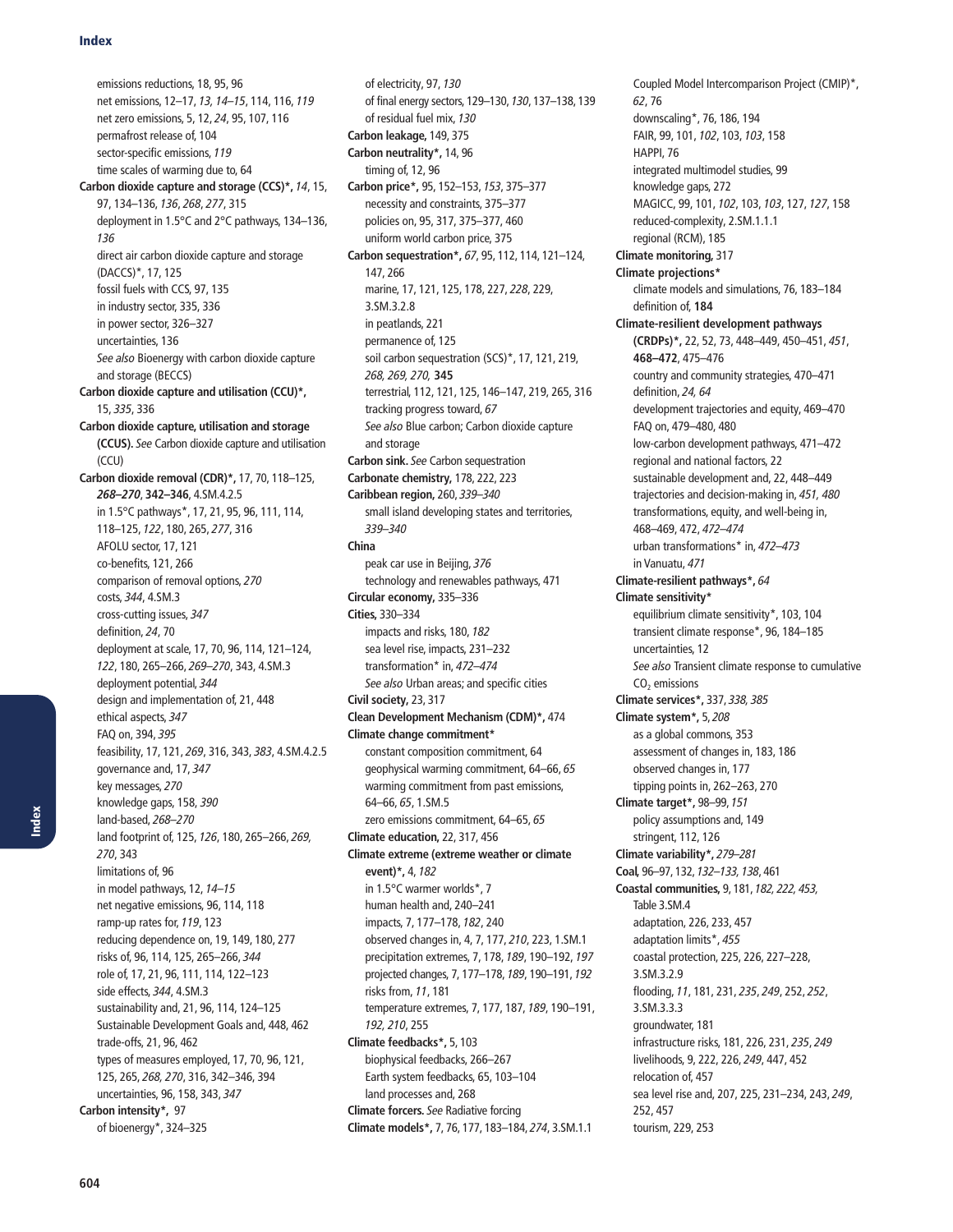emissions reductions, 18, 95, 96 net emissions, 12–17, 13, 14–15, 114, 116, 119 net zero emissions, 5, 12, 24, 95, 107, 116 permafrost release of, 104 sector-specific emissions, 119 time scales of warming due to, 64 **Carbon dioxide capture and storage (CCS)\*,** 14, 15, 97, 134–136, 136, 268, 277, 315 deployment in 1.5°C and 2°C pathways, 134–136, 136 direct air carbon dioxide capture and storage (DACCS)\*, 17, 125 fossil fuels with CCS, 97, 135 in industry sector, 335, 336 in power sector, 326–327 uncertainties, 136 See also Bioenergy with carbon dioxide capture and storage (BECCS) **Carbon dioxide capture and utilisation (CCU)\*,** 15, 335, 336 **Carbon dioxide capture, utilisation and storage (CCUS).** See Carbon dioxide capture and utilisation (CCU) **Carbon dioxide removal (CDR)\*,** 17, 70, 118–125, *268–270*, **342–346**, 4.SM.4.2.5 in 1.5°C pathways\*, 17, 21, 95, 96, 111, 114, 118–125, 122, 180, 265, 277, 316 AFOLU sector, 17, 121 co-benefits, 121, 266 comparison of removal options, 270 costs, 344, 4.SM.3 cross-cutting issues, 347 definition, 24, 70 deployment at scale, 17, 70, 96, 114, 121–124, 122, 180, 265–266, 269–270, 343, 4.SM.3 deployment potential, 344 design and implementation of, 21, 448 ethical aspects, 347 FAQ on, 394, 395 feasibility, 17, 121, 269, 316, 343, 383, 4.SM.4.2.5 governance and, 17, 347 key messages, 270 knowledge gaps, 158, 390 land-based, 268–270 land footprint of, 125, 126, 180, 265–266, 269, 270, 343 limitations of, 96 in model pathways, 12, 14–15 net negative emissions, 96, 114, 118 ramp-up rates for, 119, 123 reducing dependence on, 19, 149, 180, 277 risks of, 96, 114, 125, 265–266, 344 role of, 17, 21, 96, 111, 114, 122–123 side effects, 344, 4.SM.3 sustainability and, 21, 96, 114, 124–125 Sustainable Development Goals and, 448, 462 trade-offs, 21, 96, 462 types of measures employed, 17, 70, 96, 121, 125, 265, 268, 270, 316, 342–346, 394 uncertainties, 96, 158, 343, 347 **Carbon intensity\*,** 97 of bioenergy\*, 324–325

of electricity, 97, 130 of final energy sectors, 129–130, 130, 137–138, 139 of residual fuel mix, 130 **Carbon leakage,** 149, 375 **Carbon neutrality\*,** 14, 96 timing of, 12, 96 **Carbon price\*,** 95, 152–153, 153, 375–377 necessity and constraints, 375–377 policies on, 95, 317, 375–377, 460 uniform world carbon price, 375 **Carbon sequestration\*,** 67, 95, 112, 114, 121–124, 147, 266 marine, 17, 121, 125, 178, 227, 228, 229, 3.SM.3.2.8 in peatlands, 221 permanence of, 125 soil carbon sequestration (SCS)\*, 17, 121, 219, 268, 269, 270, **345** terrestrial, 112, 121, 125, 146–147, 219, 265, 316 tracking progress toward, 67 See also Blue carbon; Carbon dioxide capture and storage **Carbon sink.** See Carbon sequestration **Carbonate chemistry,** 178, 222, 223 **Caribbean region,** 260, 339–340 small island developing states and territories, 339–340 **China** peak car use in Beijing, 376 technology and renewables pathways, 471 **Circular economy,** 335–336 **Cities,** 330–334 impacts and risks, 180, 182 sea level rise, impacts, 231–232 transformation\* in, 472–474 See also Urban areas; and specific cities **Civil society,** 23, 317 **Clean Development Mechanism (CDM)\*,** 474 **Climate change commitment\*** constant composition commitment, 64 geophysical warming commitment, 64–66, 65 warming commitment from past emissions, 64–66, 65, 1.SM.5 zero emissions commitment, 64–65, 65 **Climate education,** 22, 317, 456 **Climate extreme (extreme weather or climate event)\*,** 4, 182 in 1.5°C warmer worlds\*, 7 human health and, 240–241 impacts, 7, 177–178, 182, 240 observed changes in, 4, 7, 177, 210, 223, 1.SM.1 precipitation extremes, 7, 178, 189, 190–192, 197 projected changes, 7, 177–178, 189, 190–191, 192 risks from, 11, 181 temperature extremes, 7, 177, 187, 189, 190–191, 192, 210, 255 **Climate feedbacks\*,** 5, 103 biophysical feedbacks, 266–267 Earth system feedbacks, 65, 103–104 land processes and, 268 **Climate forcers.** See Radiative forcing **Climate models\*,** 7, 76, 177, 183–184, 274, 3.SM.1.1

Coupled Model Intercomparison Project (CMIP)\*, 62, 76 downscaling\*, 76, 186, 194 FAIR, 99, 101, 102, 103, 103, 158 HAPPI, 76 integrated multimodel studies, 99 knowledge gaps, 272 MAGICC, 99, 101, 102, 103, 103, 127, 127, 158 reduced-complexity, 2.SM.1.1.1 regional (RCM), 185 **Climate monitoring,** 317 **Climate projections\*** climate models and simulations, 76, 183–184 definition of, **184 Climate-resilient development pathways (CRDPs)\*,** 22, 52, 73, 448–449, 450–451, 451, **468–472**, 475–476 country and community strategies, 470–471 definition, 24, 64 development trajectories and equity, 469–470 FAQ on, 479–480, 480 low-carbon development pathways, 471–472 regional and national factors, 22 sustainable development and, 22, 448–449 trajectories and decision-making in, 451, 480 transformations, equity, and well-being in, 468–469, 472, 472–474 urban transformations\* in, 472–473 in Vanuatu, 471 **Climate-resilient pathways\*,** 64 **Climate sensitivity\*** equilibrium climate sensitivity\*, 103, 104 transient climate response\*, 96, 184–185 uncertainties, 12 See also Transient climate response to cumulative CO<sub>2</sub> emissions **Climate services\*,** 337, 338, 385 **Climate system\*,** 5, 208 as a global commons, 353 assessment of changes in, 183, 186 observed changes in, 177 tipping points in, 262–263, 270 **Climate target\*,** 98–99, 151 policy assumptions and, 149 stringent, 112, 126 **Climate variability\*,** 279–281 **Coal,** 96–97, 132, 132–133, 138, 461 **Coastal communities,** 9, 181, 182, 222, 453, Table 3.SM.4 adaptation, 226, 233, 457 adaptation limits\*, 455 coastal protection, 225, 226, 227–228, 3.SM.3.2.9 flooding, 11, 181, 231, 235, 249, 252, 252, 3.SM.3.3.3 groundwater, 181 infrastructure risks, 181, 226, 231, 235, 249 livelihoods, 9, 222, 226, 249, 447, 452 relocation of, 457 sea level rise and, 207, 225, 231–234, 243, 249, 252, 457 tourism, 229, 253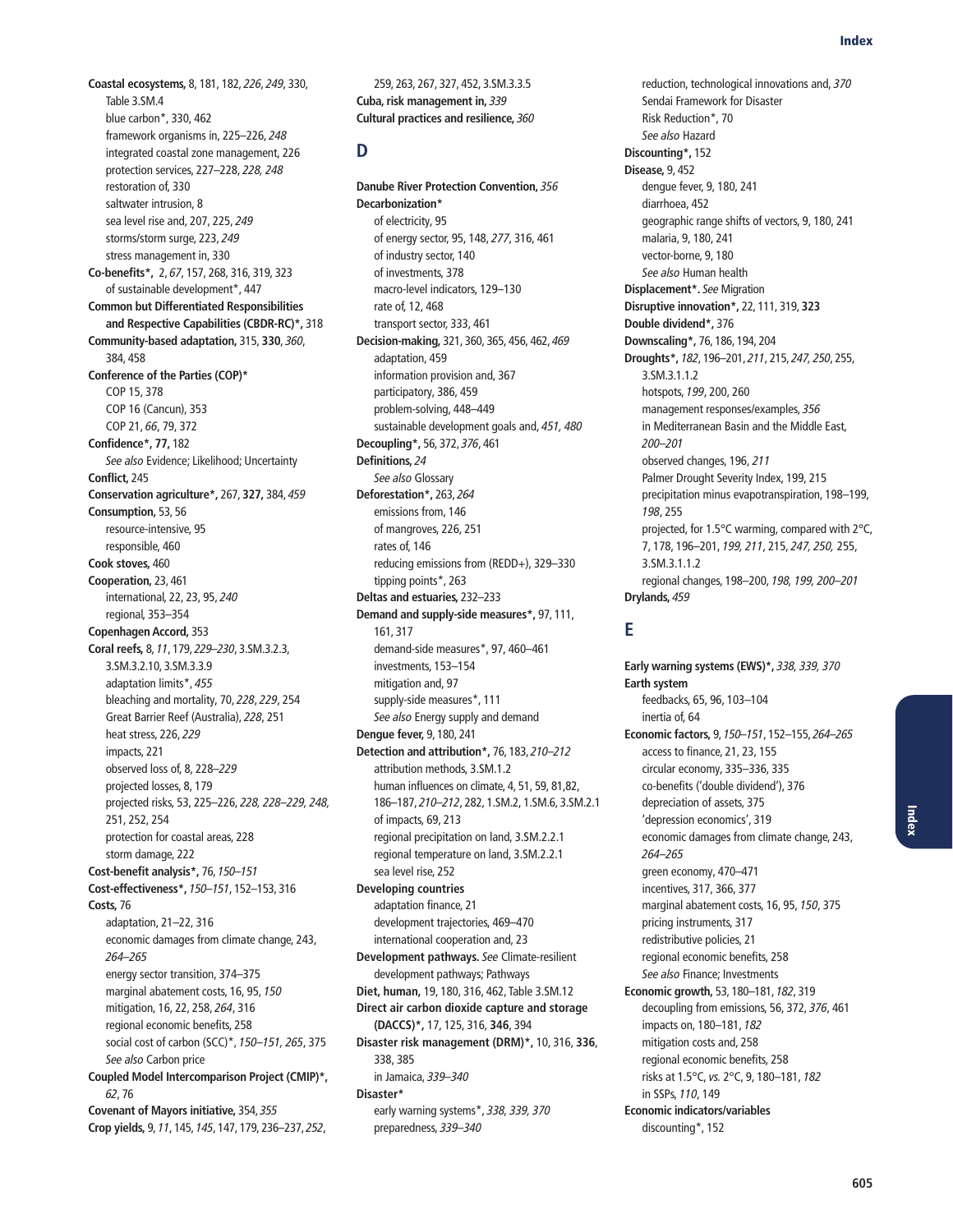**Coastal ecosystems,** 8, 181, 182, 226, 249, 330, Table 3.SM.4 blue carbon\*, 330, 462 framework organisms in, 225–226, 248 integrated coastal zone management, 226 protection services, 227–228, 228, 248 restoration of, 330 saltwater intrusion, 8 sea level rise and, 207, 225, 249 storms/storm surge, 223, 249 stress management in, 330 **Co-benefits\*,** 2, 67, 157, 268, 316, 319, 323 of sustainable development\*, 447 **Common but Differentiated Responsibilities and Respective Capabilities (CBDR-RC)\*,** 318 **Community-based adaptation,** 315, **330**, 360, 384, 458 **Conference of the Parties (COP)\*** COP 15, 378 COP 16 (Cancun), 353 COP 21, 66, 79, 372 **Confidence\*, 77,** 182 See also Evidence; Likelihood; Uncertainty **Conflict,** 245 **Conservation agriculture\*,** 267, **327,** 384, 459 **Consumption,** 53, 56 resource-intensive, 95 responsible, 460 **Cook stoves,** 460 **Cooperation,** 23, 461 international, 22, 23, 95, 240 regional, 353–354 **Copenhagen Accord,** 353 **Coral reefs,** 8, 11, 179, 229–230, 3.SM.3.2.3, 3.SM.3.2.10, 3.SM.3.3.9 adaptation limits\*, 455 bleaching and mortality, 70, 228, 229, 254 Great Barrier Reef (Australia), 228, 251 heat stress, 226, 229 impacts, 221 observed loss of, 8, 228–229 projected losses, 8, 179 projected risks, 53, 225–226, 228, 228–229, 248, 251, 252, 254 protection for coastal areas, 228 storm damage, 222 **Cost-benefit analysis\*,** 76, 150–151 **Cost-effectiveness\*,** 150–151, 152–153, 316 **Costs,** 76 adaptation, 21–22, 316 economic damages from climate change, 243, 264–265 energy sector transition, 374–375 marginal abatement costs, 16, 95, 150 mitigation, 16, 22, 258, 264, 316 regional economic benefits, 258 social cost of carbon (SCC)\*, 150–151, 265, 375 See also Carbon price **Coupled Model Intercomparison Project (CMIP)\*,** 62, 76 **Covenant of Mayors initiative,** 354, 355 **Crop yields,** 9, 11, 145, 145, 147, 179, 236–237, 252,

259, 263, 267, 327, 452, 3.SM.3.3.5 **Cuba, risk management in,** 339 **Cultural practices and resilience,** 360

#### **D**

**Danube River Protection Convention,** 356 **Decarbonization\*** of electricity, 95 of energy sector, 95, 148, 277, 316, 461 of industry sector, 140 of investments, 378 macro-level indicators, 129–130 rate of, 12, 468 transport sector, 333, 461 **Decision-making,** 321, 360, 365, 456, 462, 469 adaptation, 459 information provision and, 367 participatory, 386, 459 problem-solving, 448–449 sustainable development goals and, 451, 480 **Decoupling\*,** 56, 372, 376, 461 **Definitions,** 24 See also Glossary **Deforestation\*,** 263, 264 emissions from, 146 of mangroves, 226, 251 rates of, 146 reducing emissions from (REDD+), 329–330 tipping points\*, 263 **Deltas and estuaries,** 232–233 **Demand and supply-side measures\*,** 97, 111, 161, 317 demand-side measures\*, 97, 460–461 investments, 153–154 mitigation and, 97 supply-side measures\*, 111 See also Energy supply and demand **Dengue fever,** 9, 180, 241 **Detection and attribution\*,** 76, 183, 210–212 attribution methods, 3.SM.1.2 human influences on climate, 4, 51, 59, 81,82, 186–187, 210–212, 282, 1.SM.2, 1.SM.6, 3.SM.2.1 of impacts, 69, 213 regional precipitation on land, 3.SM.2.2.1 regional temperature on land, 3.SM.2.2.1 sea level rise, 252 **Developing countries** adaptation finance, 21 development trajectories, 469–470 international cooperation and, 23 **Development pathways.** See Climate-resilient development pathways; Pathways **Diet, human,** 19, 180, 316, 462, Table 3.SM.12 **Direct air carbon dioxide capture and storage (DACCS)\*,** 17, 125, 316, **346**, 394 **Disaster risk management (DRM)\*,** 10, 316, **336**, 338, 385 in Jamaica, 339–340 **Disaster\*** early warning systems\*, 338, 339, 370 preparedness, 339–340

reduction, technological innovations and, 370 Sendai Framework for Disaster Risk Reduction\*, 70 See also Hazard **Discounting\*,** 152 **Disease,** 9, 452 dengue fever, 9, 180, 241 diarrhoea, 452 geographic range shifts of vectors, 9, 180, 241 malaria, 9, 180, 241 vector-borne, 9, 180 See also Human health **Displacement\*.** See Migration **Disruptive innovation\*,** 22, 111, 319, **323 Double dividend\*,** 376 **Downscaling\*,** 76, 186, 194, 204 **Droughts\*,** 182, 196–201, 211, 215, 247, 250, 255, 3.SM.3.1.1.2 hotspots, 199, 200, 260 management responses/examples, 356 in Mediterranean Basin and the Middle East, 200–201 observed changes, 196, 211 Palmer Drought Severity Index, 199, 215 precipitation minus evapotranspiration, 198–199, 198, 255 projected, for 1.5°C warming, compared with 2°C, 7, 178, 196–201, 199, 211, 215, 247, 250, 255, 3.SM.3.1.1.2 regional changes, 198–200, 198, 199, 200–201 **Drylands,** 459

### **E**

**Early warning systems (EWS)\*,** 338, 339, 370 **Earth system** feedbacks, 65, 96, 103–104 inertia of, 64 **Economic factors,** 9, 150–151, 152–155, 264–265 access to finance, 21, 23, 155 circular economy, 335–336, 335 co-benefits ('double dividend'), 376 depreciation of assets, 375 'depression economics', 319 economic damages from climate change, 243, 264–265 green economy, 470–471 incentives, 317, 366, 377 marginal abatement costs, 16, 95, 150, 375 pricing instruments, 317 redistributive policies, 21 regional economic benefits, 258 See also Finance; Investments **Economic growth,** 53, 180–181, 182, 319 decoupling from emissions, 56, 372, 376, 461 impacts on, 180–181, 182 mitigation costs and, 258 regional economic benefits, 258 risks at 1.5°C, vs. 2°C, 9, 180–181, 182 in SSPs, 110, 149 **Economic indicators/variables** discounting\*, 152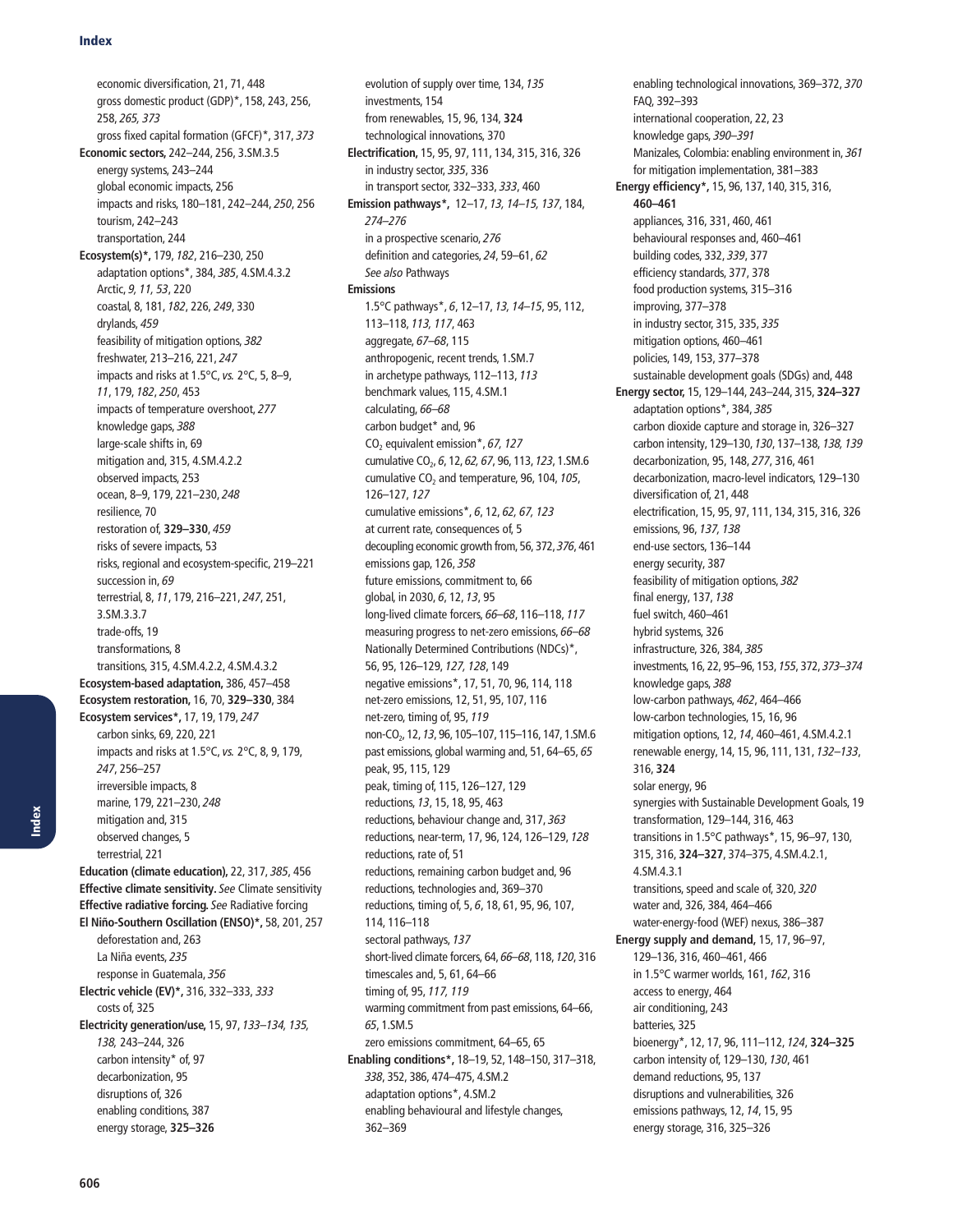economic diversification, 21, 71, 448 gross domestic product (GDP)\*, 158, 243, 256, 258, 265, 373 gross fixed capital formation (GFCF)\*, 317, 373 **Economic sectors,** 242–244, 256, 3.SM.3.5 energy systems, 243–244 global economic impacts, 256 impacts and risks, 180–181, 242–244, 250, 256 tourism, 242–243 transportation, 244 **Ecosystem(s)\*,** 179, 182, 216–230, 250 adaptation options\*, 384, 385, 4.SM.4.3.2 Arctic, 9, 11, 53, 220 coastal, 8, 181, 182, 226, 249, 330 drylands, 459 feasibility of mitigation options, 382 freshwater, 213–216, 221, 247 impacts and risks at 1.5°C, vs. 2°C, 5, 8–9, 11, 179, 182, 250, 453 impacts of temperature overshoot, 277 knowledge gaps, 388 large-scale shifts in, 69 mitigation and, 315, 4.SM.4.2.2 observed impacts, 253 ocean, 8–9, 179, 221–230, 248 resilience, 70 restoration of, **329–330**, 459 risks of severe impacts, 53 risks, regional and ecosystem-specific, 219–221 succession in, 69 terrestrial, 8, 11, 179, 216–221, 247, 251, 3.SM.3.3.7 trade-offs, 19 transformations, 8 transitions, 315, 4.SM.4.2.2, 4.SM.4.3.2 **Ecosystem-based adaptation,** 386, 457–458 **Ecosystem restoration,** 16, 70, **329–330**, 384 **Ecosystem services\*,** 17, 19, 179, 247 carbon sinks, 69, 220, 221 impacts and risks at 1.5°C, vs. 2°C, 8, 9, 179, 247, 256–257 irreversible impacts, 8 marine, 179, 221–230, 248 mitigation and, 315 observed changes, 5 terrestrial, 221 **Education (climate education),** 22, 317, 385, 456 **Effective climate sensitivity.** See Climate sensitivity **Effective radiative forcing.** See Radiative forcing **El Niño-Southern Oscillation (ENSO)\*,** 58, 201, 257 deforestation and, 263 La Niña events, 235 response in Guatemala, 356 **Electric vehicle (EV)\*,** 316, 332–333, 333 costs of, 325 **Electricity generation/use,** 15, 97, 133–134, 135, 138, 243–244, 326 carbon intensity\* of, 97 decarbonization, 95 disruptions of, 326 enabling conditions, 387 energy storage, **325–326**

evolution of supply over time, 134, 135 investments, 154 from renewables, 15, 96, 134, **324** technological innovations, 370 **Electrification,** 15, 95, 97, 111, 134, 315, 316, 326 in industry sector, 335, 336 in transport sector, 332–333, 333, 460 **Emission pathways\*,** 12–17, 13, 14–15, 137, 184, 274–276 in a prospective scenario, 276 definition and categories, 24, 59–61, 62 See also Pathways **Emissions** 1.5°C pathways\*, 6, 12–17, 13, 14–15, 95, 112, 113–118, 113, 117, 463 aggregate, 67–68, 115 anthropogenic, recent trends, 1.SM.7 in archetype pathways, 112–113, 113 benchmark values, 115, 4.SM.1 calculating, 66–68 carbon budget\* and, 96 CO<sub>2</sub> equivalent emission\*, 67, 127 cumulative CO<sub>2</sub>, 6, 12, 62, 67, 96, 113, 123, 1.SM.6 cumulative  $CO<sub>2</sub>$  and temperature, 96, 104, 105, 126–127, 127 cumulative emissions\*, 6, 12, 62, 67, 123 at current rate, consequences of, 5 decoupling economic growth from, 56, 372, 376, 461 emissions gap, 126, 358 future emissions, commitment to, 66 global, in 2030, 6, 12, 13, 95 long-lived climate forcers, 66–68, 116–118, 117 measuring progress to net-zero emissions, 66–68 Nationally Determined Contributions (NDCs)\*, 56, 95, 126–129, 127, 128, 149 negative emissions\*, 17, 51, 70, 96, 114, 118 net-zero emissions, 12, 51, 95, 107, 116 net-zero, timing of, 95, 119 non-CO<sub>2</sub>, 12, 13, 96, 105-107, 115-116, 147, 1.SM.6 past emissions, global warming and, 51, 64–65, 65 peak, 95, 115, 129 peak, timing of, 115, 126–127, 129 reductions, 13, 15, 18, 95, 463 reductions, behaviour change and, 317, 363 reductions, near-term, 17, 96, 124, 126–129, 128 reductions, rate of, 51 reductions, remaining carbon budget and, 96 reductions, technologies and, 369–370 reductions, timing of, 5, 6, 18, 61, 95, 96, 107, 114, 116–118 sectoral pathways, 137 short-lived climate forcers, 64, 66–68, 118, 120, 316 timescales and, 5, 61, 64–66 timing of, 95, 117, 119 warming commitment from past emissions, 64–66, 65, 1.SM.5 zero emissions commitment, 64–65, 65 **Enabling conditions\*,** 18–19, 52, 148–150, 317–318, 338, 352, 386, 474–475, 4.SM.2 adaptation options\*, 4.SM.2 enabling behavioural and lifestyle changes, 362–369

enabling technological innovations, 369–372, 370 FAQ, 392–393 international cooperation, 22, 23 knowledge gaps, 390–391 Manizales, Colombia: enabling environment in, 361 for mitigation implementation, 381–383 **Energy efficiency\*,** 15, 96, 137, 140, 315, 316, **460–461** appliances, 316, 331, 460, 461 behavioural responses and, 460–461 building codes, 332, 339, 377 efficiency standards, 377, 378 food production systems, 315–316 improving, 377–378 in industry sector, 315, 335, 335 mitigation options, 460–461 policies, 149, 153, 377–378 sustainable development goals (SDGs) and, 448 **Energy sector,** 15, 129–144, 243–244, 315, **324–327** adaptation options\*, 384, 385 carbon dioxide capture and storage in, 326–327 carbon intensity, 129–130, 130, 137–138, 138, 139 decarbonization, 95, 148, 277, 316, 461 decarbonization, macro-level indicators, 129–130 diversification of, 21, 448 electrification, 15, 95, 97, 111, 134, 315, 316, 326 emissions, 96, 137, 138 end-use sectors, 136–144 energy security, 387 feasibility of mitigation options, 382 final energy, 137, 138 fuel switch, 460–461 hybrid systems, 326 infrastructure, 326, 384, 385 investments, 16, 22, 95–96, 153, 155, 372, 373–374 knowledge gaps, 388 low-carbon pathways, 462, 464–466 low-carbon technologies, 15, 16, 96 mitigation options, 12, 14, 460–461, 4.SM.4.2.1 renewable energy, 14, 15, 96, 111, 131, 132–133, 316, **324** solar energy, 96 synergies with Sustainable Development Goals, 19 transformation, 129–144, 316, 463 transitions in 1.5°C pathways\*, 15, 96–97, 130, 315, 316, **324–327**, 374–375, 4.SM.4.2.1, 4.SM.4.3.1 transitions, speed and scale of, 320, 320 water and, 326, 384, 464–466 water-energy-food (WEF) nexus, 386–387 **Energy supply and demand,** 15, 17, 96–97, 129–136, 316, 460–461, 466 in 1.5°C warmer worlds, 161, 162, 316 access to energy, 464 air conditioning, 243 batteries, 325 bioenergy\*, 12, 17, 96, 111–112, 124, **324–325** carbon intensity of, 129–130, 130, 461 demand reductions, 95, 137 disruptions and vulnerabilities, 326 emissions pathways, 12, 14, 15, 95 energy storage, 316, 325–326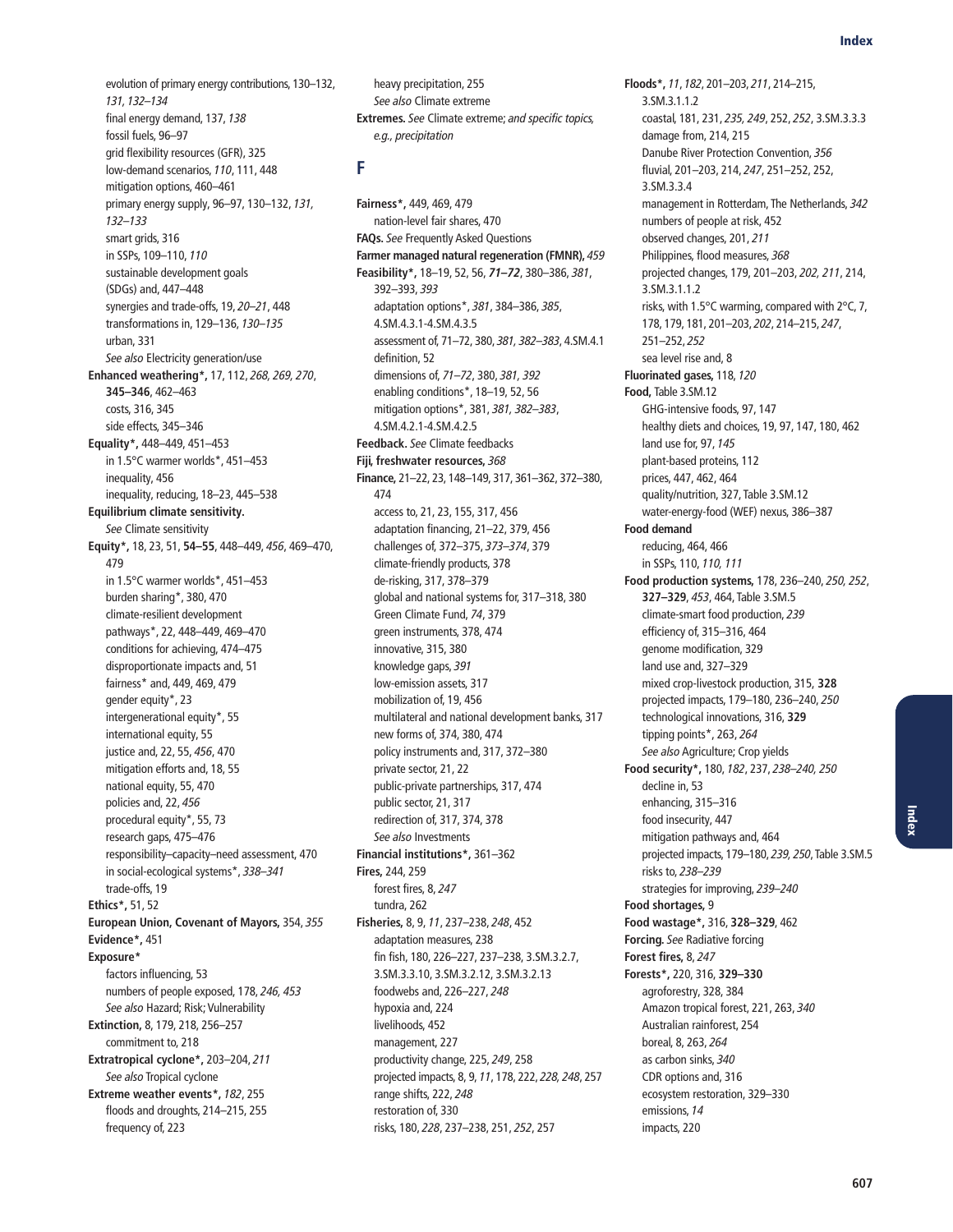evolution of primary energy contributions, 130–132, 131, 132–134 final energy demand, 137, 138 fossil fuels, 96–97 grid flexibility resources (GFR), 325 low-demand scenarios, 110, 111, 448 mitigation options, 460–461 primary energy supply, 96–97, 130–132, 131, 132–133 smart grids, 316 in SSPs, 109–110, 110 sustainable development goals (SDGs) and, 447–448 synergies and trade-offs, 19, 20–21, 448 transformations in, 129–136, 130–135 urban, 331 See also Electricity generation/use **Enhanced weathering\*,** 17, 112, 268, 269, 270, **345–346**, 462–463 costs, 316, 345 side effects, 345–346 **Equality\*,** 448–449, 451–453 in 1.5°C warmer worlds\*, 451–453 inequality, 456 inequality, reducing, 18–23, 445–538 **Equilibrium climate sensitivity.**  See Climate sensitivity **Equity\*,** 18, 23, 51, **54–55**, 448–449, 456, 469–470, 479 in 1.5°C warmer worlds\*, 451–453 burden sharing\*, 380, 470 climate-resilient development pathways\*, 22, 448–449, 469–470 conditions for achieving, 474–475 disproportionate impacts and, 51 fairness\* and, 449, 469, 479 gender equity\*, 23 intergenerational equity\*, 55 international equity, 55 justice and, 22, 55, 456, 470 mitigation efforts and, 18, 55 national equity, 55, 470 policies and, 22, 456 procedural equity\*, 55, 73 research gaps, 475–476 responsibility–capacity–need assessment, 470 in social-ecological systems\*, 338–341 trade-offs, 19 **Ethics\*,** 51, 52 **European Union, Covenant of Mayors,** 354, 355 **Evidence\*,** 451 **Exposure\*** factors influencing, 53 numbers of people exposed, 178, 246, 453 See also Hazard; Risk; Vulnerability **Extinction,** 8, 179, 218, 256–257 commitment to, 218 **Extratropical cyclone\*,** 203–204, 211 See also Tropical cyclone **Extreme weather events\*,** 182, 255 floods and droughts, 214–215, 255 frequency of, 223

heavy precipitation, 255 See also Climate extreme **Extremes.** See Climate extreme; and specific topics, e.g., precipitation

## **F**

**Fairness\*,** 449, 469, 479 nation-level fair shares, 470 **FAQs.** See Frequently Asked Questions **Farmer managed natural regeneration (FMNR),** 459 **Feasibility\*,** 18–19, 52, 56, *71–72*, 380–386, 381, 392–393, 393 adaptation options\*, 381, 384–386, 385, 4.SM.4.3.1-4.SM.4.3.5 assessment of, 71–72, 380, 381, 382–383, 4.SM.4.1 definition, 52 dimensions of, 71–72, 380, 381, 392 enabling conditions\*, 18–19, 52, 56 mitigation options\*, 381, 381, 382–383, 4.SM.4.2.1-4.SM.4.2.5 **Feedback.** See Climate feedbacks **Fiji, freshwater resources,** 368 **Finance,** 21–22, 23, 148–149, 317, 361–362, 372–380, 474 access to, 21, 23, 155, 317, 456 adaptation financing, 21–22, 379, 456 challenges of, 372–375, 373–374, 379 climate-friendly products, 378 de-risking, 317, 378–379 global and national systems for, 317–318, 380 Green Climate Fund, 74, 379 green instruments, 378, 474 innovative, 315, 380 knowledge gaps, 391 low-emission assets, 317 mobilization of, 19, 456 multilateral and national development banks, 317 new forms of, 374, 380, 474 policy instruments and, 317, 372–380 private sector, 21, 22 public-private partnerships, 317, 474 public sector, 21, 317 redirection of, 317, 374, 378 See also Investments **Financial institutions\*,** 361–362 **Fires,** 244, 259 forest fires, 8, 247 tundra, 262 **Fisheries,** 8, 9, 11, 237–238, 248, 452 adaptation measures, 238 fin fish, 180, 226–227, 237–238, 3.SM.3.2.7, 3.SM.3.3.10, 3.SM.3.2.12, 3.SM.3.2.13 foodwebs and, 226–227, 248 hypoxia and, 224 livelihoods, 452 management, 227 productivity change, 225, 249, 258 projected impacts, 8, 9, 11, 178, 222, 228, 248, 257 range shifts, 222, 248 restoration of, 330 risks, 180, 228, 237–238, 251, 252, 257

**Floods\*,** 11, 182, 201–203, 211, 214–215, 3.SM.3.1.1.2 coastal, 181, 231, 235, 249, 252, 252, 3.SM.3.3.3 damage from, 214, 215 Danube River Protection Convention, 356 fluvial, 201–203, 214, 247, 251–252, 252, 3.SM.3.3.4 management in Rotterdam, The Netherlands, 342 numbers of people at risk, 452 observed changes, 201, 211 Philippines, flood measures, 368 projected changes, 179, 201–203, 202, 211, 214, 3.SM.3.1.1.2 risks, with 1.5°C warming, compared with 2°C, 7, 178, 179, 181, 201–203, 202, 214–215, 247, 251–252, 252 sea level rise and, 8 **Fluorinated gases,** 118, 120 **Food,** Table 3.SM.12 GHG-intensive foods, 97, 147 healthy diets and choices, 19, 97, 147, 180, 462 land use for, 97, 145 plant-based proteins, 112 prices, 447, 462, 464 quality/nutrition, 327, Table 3.SM.12 water-energy-food (WEF) nexus, 386–387 **Food demand** reducing, 464, 466 in SSPs, 110, 110, 111 **Food production systems,** 178, 236–240, 250, 252, **327–329**, 453, 464, Table 3.SM.5 climate-smart food production, 239 efficiency of, 315–316, 464 genome modification, 329 land use and, 327–329 mixed crop-livestock production, 315, **328** projected impacts, 179–180, 236–240, 250 technological innovations, 316, **329** tipping points\*, 263, 264 See also Agriculture; Crop yields **Food security\*,** 180, 182, 237, 238–240, 250 decline in, 53 enhancing, 315–316 food insecurity, 447 mitigation pathways and, 464 projected impacts, 179–180, 239, 250, Table 3.SM.5 risks to, 238–239 strategies for improving, 239–240 **Food shortages,** 9 **Food wastage\*,** 316, **328–329**, 462 **Forcing.** See Radiative forcing **Forest fires,** 8, 247 **Forests\*,** 220, 316, **329–330** agroforestry, 328, 384 Amazon tropical forest, 221, 263, 340 Australian rainforest, 254 boreal, 8, 263, 264 as carbon sinks, 340 CDR options and, 316 ecosystem restoration, 329–330 emissions, 14 impacts, 220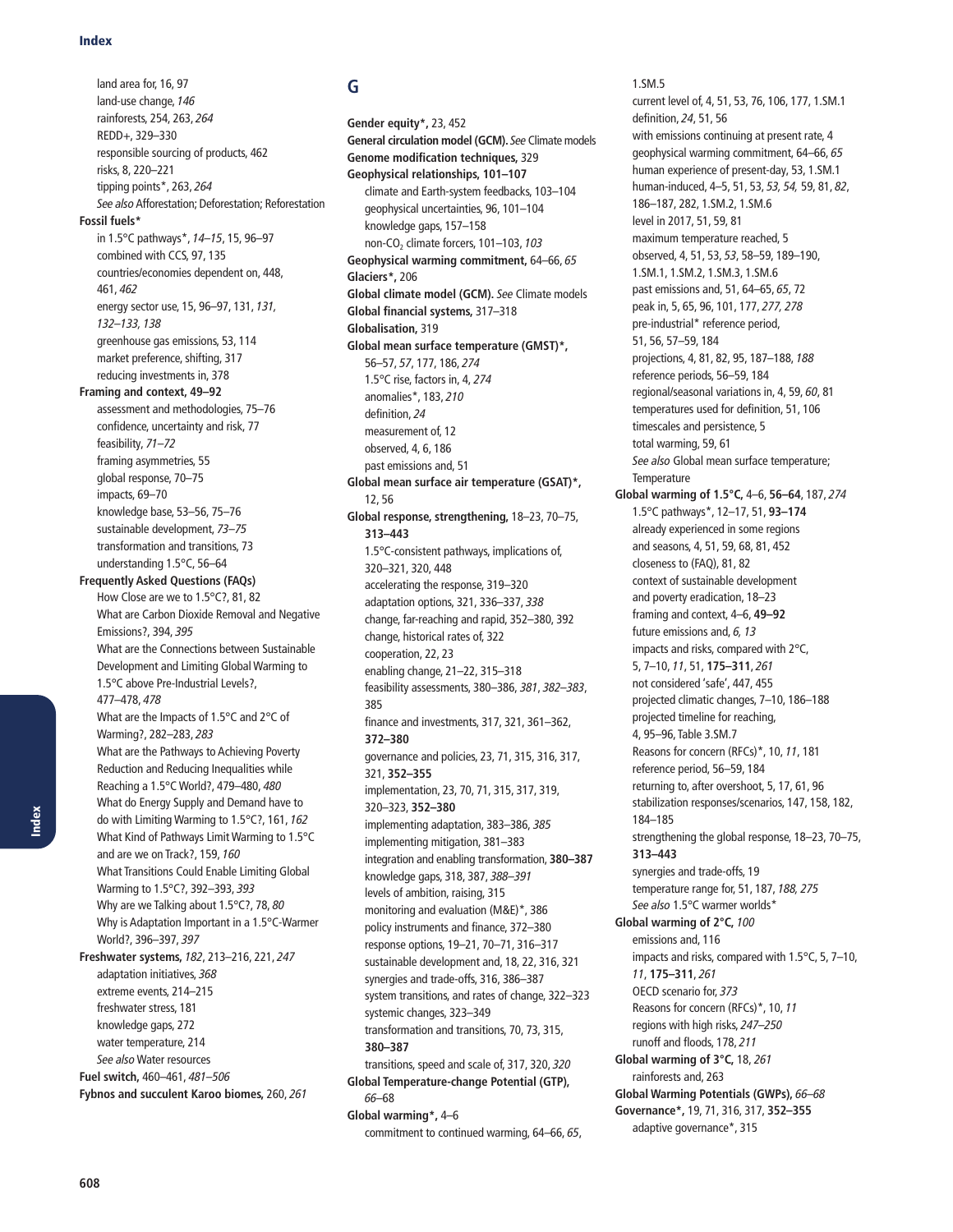land area for, 16, 97 land-use change, 146 rainforests, 254, 263, 264 REDD+, 329–330 responsible sourcing of products, 462 risks, 8, 220–221 tipping points\*, 263, 264 See also Afforestation; Deforestation; Reforestation **Fossil fuels\*** in 1.5°C pathways\*, 14–15, 15, 96–97 combined with CCS, 97, 135 countries/economies dependent on, 448, 461, 462 energy sector use, 15, 96–97, 131, 131, 132–133, 138 greenhouse gas emissions, 53, 114 market preference, shifting, 317 reducing investments in, 378 **Framing and context, 49–92** assessment and methodologies, 75–76 confidence, uncertainty and risk, 77 feasibility, 71–72 framing asymmetries, 55 global response, 70–75 impacts, 69–70 knowledge base, 53–56, 75–76 sustainable development, 73–75 transformation and transitions, 73 understanding 1.5°C, 56–64 **Frequently Asked Questions (FAQs)** How Close are we to 1.5°C?, 81, 82 What are Carbon Dioxide Removal and Negative Emissions?, 394, 395 What are the Connections between Sustainable Development and Limiting Global Warming to 1.5°C above Pre-Industrial Levels?, 477–478, 478 What are the Impacts of 1.5°C and 2°C of Warming?, 282–283, 283 What are the Pathways to Achieving Poverty Reduction and Reducing Inequalities while Reaching a 1.5°C World?, 479–480, 480 What do Energy Supply and Demand have to do with Limiting Warming to 1.5°C?, 161, 162 What Kind of Pathways Limit Warming to 1.5°C and are we on Track?, 159, 160 What Transitions Could Enable Limiting Global Warming to 1.5°C?, 392–393, 393 Why are we Talking about 1.5°C?, 78, 80 Why is Adaptation Important in a 1.5°C-Warmer World?, 396–397, 397 **Freshwater systems,** 182, 213–216, 221, 247 adaptation initiatives, 368 extreme events, 214–215 freshwater stress, 181 knowledge gaps, 272 water temperature, 214 See also Water resources **Fuel switch,** 460–461, 481–506 **Fybnos and succulent Karoo biomes,** 260, 261

# **G**

**Gender equity\*,** 23, 452 **General circulation model (GCM).** See Climate models **Genome modification techniques,** 329 **Geophysical relationships, 101–107** climate and Earth-system feedbacks, 103–104 geophysical uncertainties, 96, 101–104 knowledge gaps, 157–158 non-CO<sub>2</sub> climate forcers, 101-103, 103 **Geophysical warming commitment,** 64–66, 65 **Glaciers\*,** 206 **Global climate model (GCM).** See Climate models **Global financial systems,** 317–318 **Globalisation,** 319 **Global mean surface temperature (GMST)\*,** 56–57, 57, 177, 186, 274 1.5°C rise, factors in, 4, 274 anomalies\*, 183, 210 definition, 24 measurement of, 12 observed, 4, 6, 186 past emissions and, 51 **Global mean surface air temperature (GSAT)\*,**  12, 56 **Global response, strengthening,** 18–23, 70–75, **313–443** 1.5°C-consistent pathways, implications of, 320–321, 320, 448 accelerating the response, 319–320 adaptation options, 321, 336–337, 338 change, far-reaching and rapid, 352–380, 392 change, historical rates of, 322 cooperation, 22, 23 enabling change, 21–22, 315–318 feasibility assessments, 380–386, 381, 382–383, 385 finance and investments, 317, 321, 361–362, **372–380** governance and policies, 23, 71, 315, 316, 317, 321, **352–355** implementation, 23, 70, 71, 315, 317, 319, 320–323, **352–380** implementing adaptation, 383–386, 385 implementing mitigation, 381–383 integration and enabling transformation, **380–387** knowledge gaps, 318, 387, 388–391 levels of ambition, raising, 315 monitoring and evaluation (M&E)\*, 386 policy instruments and finance, 372–380 response options, 19–21, 70–71, 316–317 sustainable development and, 18, 22, 316, 321 synergies and trade-offs, 316, 386–387 system transitions, and rates of change, 322–323 systemic changes, 323–349 transformation and transitions, 70, 73, 315, **380–387** transitions, speed and scale of, 317, 320, 320 **Global Temperature-change Potential (GTP),**  66–68 **Global warming\*,** 4–6 commitment to continued warming, 64–66, 65,

#### 1.SM.5

current level of, 4, 51, 53, 76, 106, 177, 1.SM.1 definition, 24, 51, 56 with emissions continuing at present rate, 4 geophysical warming commitment, 64–66, 65 human experience of present-day, 53, 1.SM.1 human-induced, 4–5, 51, 53, 53, 54, 59, 81, 82, 186–187, 282, 1.SM.2, 1.SM.6 level in 2017, 51, 59, 81 maximum temperature reached, 5 observed, 4, 51, 53, 53, 58–59, 189–190, 1.SM.1, 1.SM.2, 1.SM.3, 1.SM.6 past emissions and, 51, 64–65, 65, 72 peak in, 5, 65, 96, 101, 177, 277, 278 pre-industrial\* reference period, 51, 56, 57–59, 184 projections, 4, 81, 82, 95, 187–188, 188 reference periods, 56–59, 184 regional/seasonal variations in, 4, 59, 60, 81 temperatures used for definition, 51, 106 timescales and persistence, 5 total warming, 59, 61 See also Global mean surface temperature; **Temperature Global warming of 1.5°C,** 4–6, **56–64**, 187, 274 1.5°C pathways\*, 12–17, 51, **93–174** already experienced in some regions and seasons, 4, 51, 59, 68, 81, 452 closeness to (FAQ), 81, 82 context of sustainable development and poverty eradication, 18–23 framing and context, 4–6, **49–92** future emissions and, 6, 13 impacts and risks, compared with 2°C, 5, 7–10, 11, 51, **175–311**, 261 not considered 'safe', 447, 455 projected climatic changes, 7–10, 186–188 projected timeline for reaching, 4, 95–96, Table 3.SM.7 Reasons for concern (RFCs)\*, 10, 11, 181 reference period, 56–59, 184 returning to, after overshoot, 5, 17, 61, 96 stabilization responses/scenarios, 147, 158, 182, 184–185 strengthening the global response, 18–23, 70–75, **313–443** synergies and trade-offs, 19 temperature range for, 51, 187, 188, 275 See also 1.5°C warmer worlds\* **Global warming of 2°C,** 100 emissions and, 116 impacts and risks, compared with 1.5°C, 5, 7–10, 11, **175–311**, 261 OECD scenario for, 373 Reasons for concern (RFCs)\*, 10, 11 regions with high risks, 247–250 runoff and floods, 178, 211 **Global warming of 3°C,** 18, 261 rainforests and, 263 **Global Warming Potentials (GWPs),** 66–68 **Governance\*,** 19, 71, 316, 317, **352–355** adaptive governance\*, 315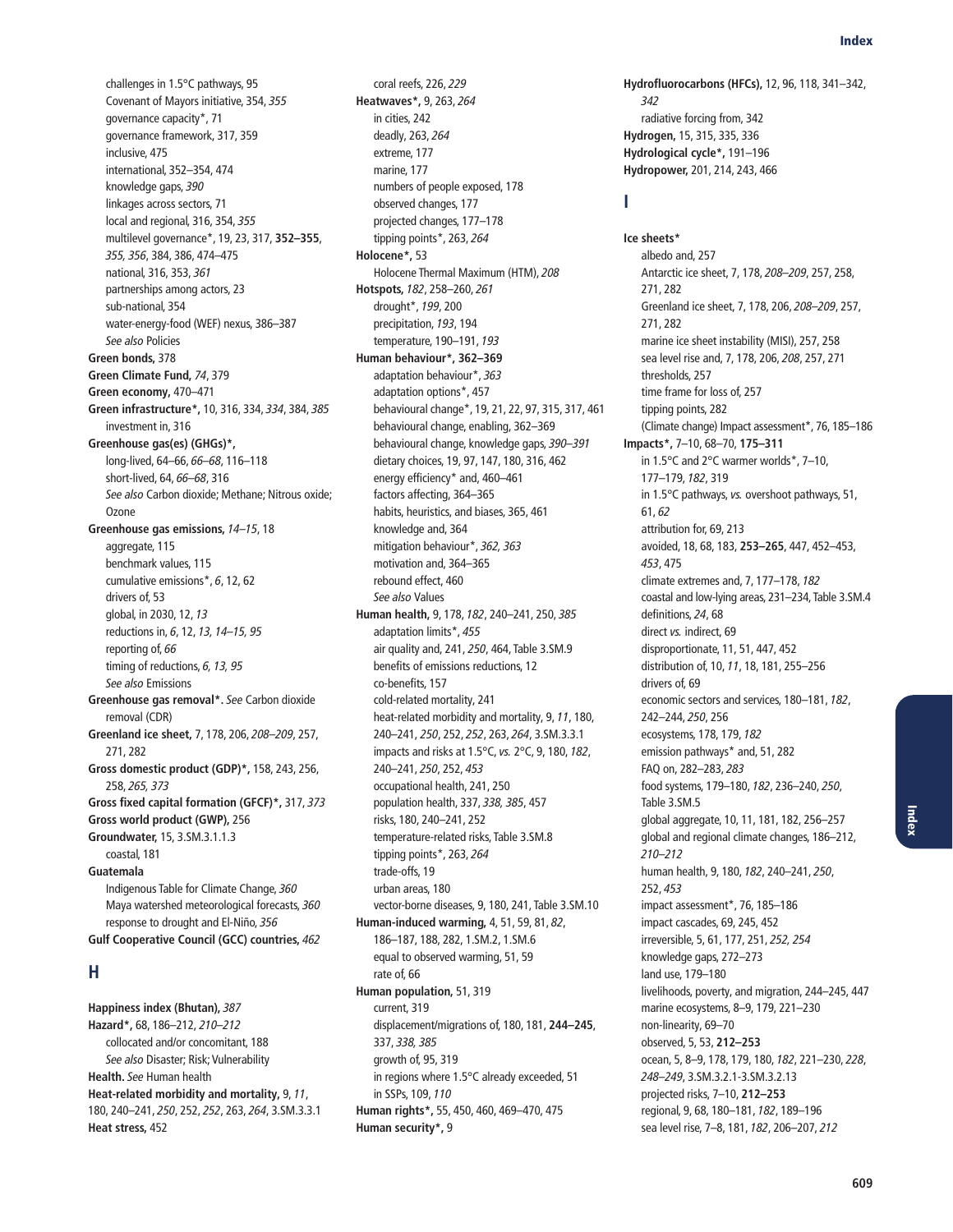challenges in 1.5°C pathways, 95 Covenant of Mayors initiative, 354, 355 governance capacity\*, 71 governance framework, 317, 359 inclusive, 475 international, 352–354, 474 knowledge gaps, 390 linkages across sectors, 71 local and regional, 316, 354, 355 multilevel governance\*, 19, 23, 317, **352–355**, 355, 356, 384, 386, 474–475 national, 316, 353, 361 partnerships among actors, 23 sub-national, 354 water-energy-food (WEF) nexus, 386–387 See also Policies **Green bonds,** 378 **Green Climate Fund,** 74, 379 **Green economy,** 470–471 **Green infrastructure\*,** 10, 316, 334, 334, 384, 385 investment in, 316 **Greenhouse gas(es) (GHGs)\*,** long-lived, 64–66, 66–68, 116–118 short-lived, 64, 66–68, 316 See also Carbon dioxide; Methane; Nitrous oxide; Ozone **Greenhouse gas emissions,** 14–15, 18 aggregate, 115 benchmark values, 115 cumulative emissions\*, 6, 12, 62 drivers of, 53 global, in 2030, 12, 13 reductions in, 6, 12, 13, 14–15, 95 reporting of, 66 timing of reductions, 6, 13, 95 See also Emissions **Greenhouse gas removal\*.** See Carbon dioxide removal (CDR) **Greenland ice sheet,** 7, 178, 206, 208–209, 257, 271, 282 **Gross domestic product (GDP)\*,** 158, 243, 256, 258, 265, 373 **Gross fixed capital formation (GFCF)\*,** 317, 373 **Gross world product (GWP),** 256 **Groundwater,** 15, 3.SM.3.1.1.3 coastal, 181 **Guatemala** Indigenous Table for Climate Change, 360 Maya watershed meteorological forecasts, 360 response to drought and El-Niño, 356 **Gulf Cooperative Council (GCC) countries,** 462

#### **H**

**Happiness index (Bhutan),** 387 **Hazard\*,** 68, 186–212, 210–212 collocated and/or concomitant, 188 See also Disaster; Risk; Vulnerability **Health.** See Human health **Heat-related morbidity and mortality,** 9, 11, 180, 240–241, 250, 252, 252, 263, 264, 3.SM.3.3.1 **Heat stress,** 452

coral reefs, 226, 229 **Heatwaves\*,** 9, 263, 264 in cities, 242 deadly, 263, 264 extreme, 177 marine, 177 numbers of people exposed, 178 observed changes, 177 projected changes, 177–178 tipping points\*, 263, 264 **Holocene\*,** 53 Holocene Thermal Maximum (HTM), 208 **Hotspots,** 182, 258–260, 261 drought\*, 199, 200 precipitation, 193, 194 temperature, 190–191, 193 **Human behaviour\*, 362–369** adaptation behaviour\*, 363 adaptation options\*, 457 behavioural change\*, 19, 21, 22, 97, 315, 317, 461 behavioural change, enabling, 362–369 behavioural change, knowledge gaps, 390–391 dietary choices, 19, 97, 147, 180, 316, 462 energy efficiency\* and, 460–461 factors affecting, 364–365 habits, heuristics, and biases, 365, 461 knowledge and, 364 mitigation behaviour\*, 362, 363 motivation and, 364–365 rebound effect, 460 See also Values **Human health,** 9, 178, 182, 240–241, 250, 385 adaptation limits\*, 455 air quality and, 241, 250, 464, Table 3.SM.9 benefits of emissions reductions, 12 co-benefits, 157 cold-related mortality, 241 heat-related morbidity and mortality, 9, 11, 180, 240–241, 250, 252, 252, 263, 264, 3.SM.3.3.1 impacts and risks at 1.5°C, vs. 2°C, 9, 180, 182, 240–241, 250, 252, 453 occupational health, 241, 250 population health, 337, 338, 385, 457 risks, 180, 240–241, 252 temperature-related risks, Table 3.SM.8 tipping points\*, 263, 264 trade-offs, 19 urban areas, 180 vector-borne diseases, 9, 180, 241, Table 3.SM.10 **Human-induced warming,** 4, 51, 59, 81, 82, 186–187, 188, 282, 1.SM.2, 1.SM.6 equal to observed warming, 51, 59 rate of, 66 **Human population,** 51, 319 current, 319 displacement/migrations of, 180, 181, **244–245**, 337, 338, 385 growth of, 95, 319 in regions where 1.5°C already exceeded, 51 in SSPs, 109, 110 **Human rights\*,** 55, 450, 460, 469–470, 475 **Human security\*,** 9

**Hydrofluorocarbons (HFCs),** 12, 96, 118, 341–342, 342 radiative forcing from, 342 **Hydrogen,** 15, 315, 335, 336 **Hydrological cycle\*,** 191–196 **Hydropower,** 201, 214, 243, 466

#### **I**

**Ice sheets\*** albedo and, 257 Antarctic ice sheet, 7, 178, 208–209, 257, 258, 271, 282 Greenland ice sheet, 7, 178, 206, 208–209, 257, 271, 282 marine ice sheet instability (MISI), 257, 258 sea level rise and, 7, 178, 206, 208, 257, 271 thresholds, 257 time frame for loss of, 257 tipping points, 282 (Climate change) Impact assessment\*, 76, 185–186 **Impacts\*,** 7–10, 68–70, **175–311** in 1.5°C and 2°C warmer worlds\*, 7–10, 177–179, 182, 319 in 1.5°C pathways, vs. overshoot pathways, 51, 61, 62 attribution for, 69, 213 avoided, 18, 68, 183, **253–265**, 447, 452–453, 453, 475 climate extremes and, 7, 177–178, 182 coastal and low-lying areas, 231–234, Table 3.SM.4 definitions, 24, 68 direct vs. indirect, 69 disproportionate, 11, 51, 447, 452 distribution of, 10, 11, 18, 181, 255–256 drivers of, 69 economic sectors and services, 180–181, 182, 242–244, 250, 256 ecosystems, 178, 179, 182 emission pathways\* and, 51, 282 FAQ on, 282–283, 283 food systems, 179–180, 182, 236–240, 250, Table 3.SM.5 global aggregate, 10, 11, 181, 182, 256–257 global and regional climate changes, 186–212, 210–212 human health, 9, 180, 182, 240–241, 250, 252, 453 impact assessment\*, 76, 185–186 impact cascades, 69, 245, 452 irreversible, 5, 61, 177, 251, 252, 254 knowledge gaps, 272–273 land use, 179–180 livelihoods, poverty, and migration, 244–245, 447 marine ecosystems, 8–9, 179, 221–230 non-linearity, 69–70 observed, 5, 53, **212–253** ocean, 5, 8–9, 178, 179, 180, 182, 221–230, 228, 248–249, 3.SM.3.2.1-3.SM.3.2.13 projected risks, 7–10, **212–253** regional, 9, 68, 180–181, 182, 189–196 sea level rise, 7–8, 181, 182, 206–207, 212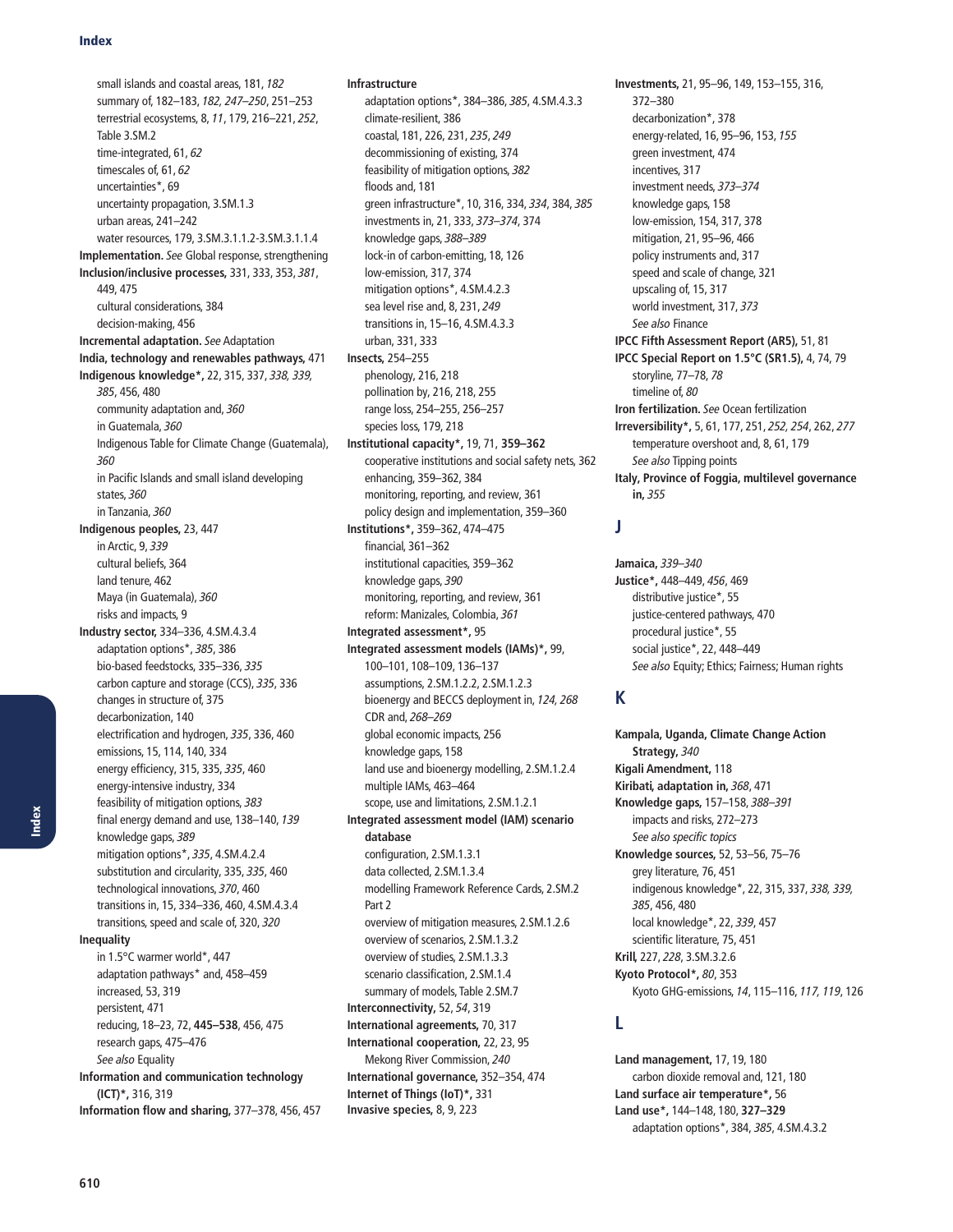small islands and coastal areas, 181, 182 summary of, 182–183, 182, 247–250, 251–253 terrestrial ecosystems, 8, 11, 179, 216–221, 252, Table 3.SM.2 time-integrated, 61, 62 timescales of, 61, 62 uncertainties\*, 69 uncertainty propagation, 3.SM.1.3 urban areas, 241–242 water resources, 179, 3.SM.3.1.1.2-3.SM.3.1.1.4 **Implementation.** See Global response, strengthening **Inclusion/inclusive processes,** 331, 333, 353, 381, 449, 475 cultural considerations, 384 decision-making, 456 **Incremental adaptation.** See Adaptation **India, technology and renewables pathways,** 471 **Indigenous knowledge\*,** 22, 315, 337, 338, 339, 385, 456, 480 community adaptation and, 360 in Guatemala, 360 Indigenous Table for Climate Change (Guatemala), 360 in Pacific Islands and small island developing states, 360 in Tanzania, 360 **Indigenous peoples,** 23, 447 in Arctic, 9, 339 cultural beliefs, 364 land tenure, 462 Maya (in Guatemala), 360 risks and impacts, 9 **Industry sector,** 334–336, 4.SM.4.3.4 adaptation options\*, 385, 386 bio-based feedstocks, 335–336, 335 carbon capture and storage (CCS), 335, 336 changes in structure of, 375 decarbonization, 140 electrification and hydrogen, 335, 336, 460 emissions, 15, 114, 140, 334 energy efficiency, 315, 335, 335, 460 energy-intensive industry, 334 feasibility of mitigation options, 383 final energy demand and use, 138–140, 139 knowledge gaps, 389 mitigation options\*, 335, 4.SM.4.2.4 substitution and circularity, 335, 335, 460 technological innovations, 370, 460 transitions in, 15, 334–336, 460, 4.SM.4.3.4 transitions, speed and scale of, 320, 320 **Inequality** in 1.5°C warmer world\*, 447 adaptation pathways\* and, 458–459 increased, 53, 319 persistent, 471 reducing, 18–23, 72, **445–538**, 456, 475 research gaps, 475–476 See also Equality **Information and communication technology (ICT)\*,** 316, 319 **Information flow and sharing,** 377–378, 456, 457

**Infrastructure**

adaptation options\*, 384–386, 385, 4.SM.4.3.3 climate-resilient, 386 coastal, 181, 226, 231, 235, 249 decommissioning of existing, 374 feasibility of mitigation options, 382 floods and, 181 green infrastructure\*, 10, 316, 334, 334, 384, 385 investments in, 21, 333, 373–374, 374 knowledge gaps, 388–389 lock-in of carbon-emitting, 18, 126 low-emission, 317, 374 mitigation options\*, 4.SM.4.2.3 sea level rise and, 8, 231, 249 transitions in, 15–16, 4.SM.4.3.3 urban, 331, 333 **Insects,** 254–255 phenology, 216, 218 pollination by, 216, 218, 255 range loss, 254–255, 256–257 species loss, 179, 218 **Institutional capacity\*,** 19, 71, **359–362** cooperative institutions and social safety nets, 362 enhancing, 359–362, 384 monitoring, reporting, and review, 361 policy design and implementation, 359–360 **Institutions\*,** 359–362, 474–475 financial, 361–362 institutional capacities, 359–362 knowledge gaps, 390 monitoring, reporting, and review, 361 reform: Manizales, Colombia, 361 **Integrated assessment\*,** 95 **Integrated assessment models (IAMs)\*,** 99, 100–101, 108–109, 136–137 assumptions, 2.SM.1.2.2, 2.SM.1.2.3 bioenergy and BECCS deployment in, 124, 268 CDR and, 268–269 global economic impacts, 256 knowledge gaps, 158 land use and bioenergy modelling, 2.SM.1.2.4 multiple IAMs, 463–464 scope, use and limitations, 2.SM.1.2.1 **Integrated assessment model (IAM) scenario database** configuration, 2.SM.1.3.1 data collected, 2.SM.1.3.4 modelling Framework Reference Cards, 2.SM.2 Part 2 overview of mitigation measures, 2.SM.1.2.6 overview of scenarios, 2.SM.1.3.2 overview of studies, 2.SM.1.3.3 scenario classification, 2.SM.1.4 summary of models, Table 2.SM.7 **Interconnectivity,** 52, 54, 319 **International agreements,** 70, 317 **International cooperation,** 22, 23, 95 Mekong River Commission, 240 **International governance,** 352–354, 474 **Internet of Things (IoT)\*,** 331 **Invasive species,** 8, 9, 223

**Investments,** 21, 95–96, 149, 153–155, 316, 372–380 decarbonization\*, 378 energy-related, 16, 95–96, 153, 155 green investment, 474 incentives, 317 investment needs, 373–374 knowledge gaps, 158 low-emission, 154, 317, 378 mitigation, 21, 95–96, 466 policy instruments and, 317 speed and scale of change, 321 upscaling of, 15, 317 world investment, 317, 373 See also Finance **IPCC Fifth Assessment Report (AR5),** 51, 81 **IPCC Special Report on 1.5°C (SR1.5),** 4, 74, 79 storyline, 77–78, 78 timeline of, 80 **Iron fertilization.** See Ocean fertilization **Irreversibility\*,** 5, 61, 177, 251, 252, 254, 262, 277 temperature overshoot and, 8, 61, 179 See also Tipping points **Italy, Province of Foggia, multilevel governance in,** 355

# **J**

**Jamaica,** 339–340 **Justice\*,** 448–449, 456, 469 distributive justice\*, 55 justice-centered pathways, 470 procedural justice\*, 55 social justice\*, 22, 448–449 See also Equity; Ethics; Fairness; Human rights

# **K**

**Kampala, Uganda, Climate Change Action Strategy,** 340 **Kigali Amendment,** 118 **Kiribati, adaptation in,** 368, 471 **Knowledge gaps,** 157–158, 388–391 impacts and risks, 272–273 See also specific topics **Knowledge sources,** 52, 53–56, 75–76 grey literature, 76, 451 indigenous knowledge\*, 22, 315, 337, 338, 339, 385, 456, 480 local knowledge\*, 22, 339, 457 scientific literature, 75, 451 **Krill,** 227, 228, 3.SM.3.2.6 **Kyoto Protocol\*,** 80, 353 Kyoto GHG-emissions, 14, 115–116, 117, 119, 126

# **L**

**Land management,** 17, 19, 180 carbon dioxide removal and, 121, 180 **Land surface air temperature\*,** 56 **Land use\*,** 144–148, 180, **327–329** adaptation options\*, 384, 385, 4.SM.4.3.2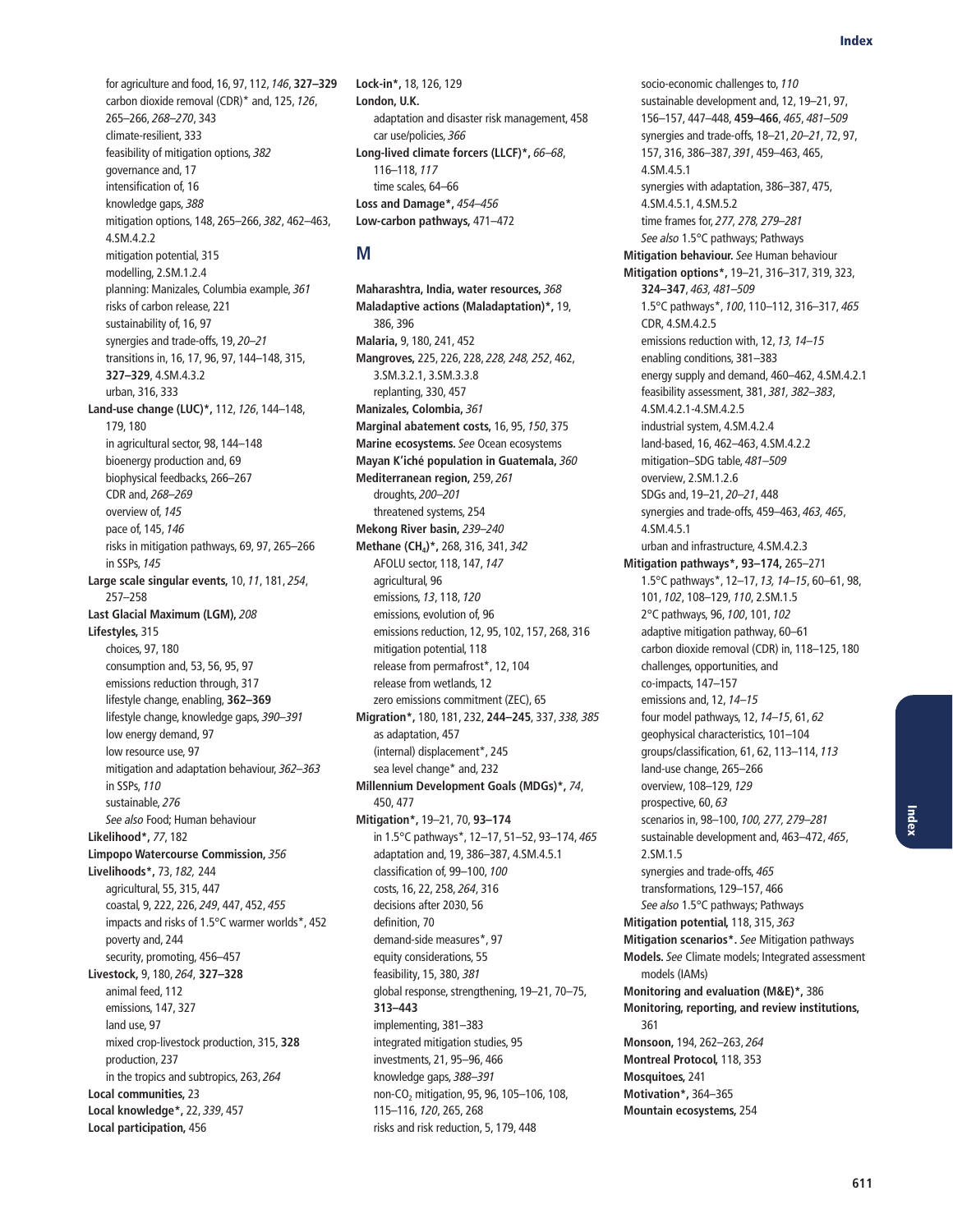for agriculture and food, 16, 97, 112, 146, **327–329** carbon dioxide removal (CDR)\* and, 125, 126, 265–266, 268–270, 343 climate-resilient, 333 feasibility of mitigation options, 382 governance and, 17 intensification of, 16 knowledge gaps, 388 mitigation options, 148, 265–266, 382, 462–463, 4.SM.4.2.2 mitigation potential, 315 modelling, 2.SM.1.2.4 planning: Manizales, Columbia example, 361 risks of carbon release, 221 sustainability of, 16, 97 synergies and trade-offs, 19, 20–21 transitions in, 16, 17, 96, 97, 144–148, 315, **327–329**, 4.SM.4.3.2 urban, 316, 333 **Land-use change (LUC)\*,** 112, 126, 144–148, 179, 180 in agricultural sector, 98, 144–148 bioenergy production and, 69 biophysical feedbacks, 266–267 CDR and, 268–269 overview of, 145 pace of, 145, 146 risks in mitigation pathways, 69, 97, 265–266 in SSPs, 145 **Large scale singular events,** 10, 11, 181, 254, 257–258 **Last Glacial Maximum (LGM),** 208 **Lifestyles,** 315 choices, 97, 180 consumption and, 53, 56, 95, 97 emissions reduction through, 317 lifestyle change, enabling, **362–369** lifestyle change, knowledge gaps, 390–391 low energy demand, 97 low resource use, 97 mitigation and adaptation behaviour, 362–363 in SSPs, 110 sustainable, 276 See also Food; Human behaviour **Likelihood\*,** 77, 182 **Limpopo Watercourse Commission,** 356 **Livelihoods\*,** 73, 182, 244 agricultural, 55, 315, 447 coastal, 9, 222, 226, 249, 447, 452, 455 impacts and risks of 1.5°C warmer worlds\*, 452 poverty and, 244 security, promoting, 456–457 **Livestock,** 9, 180, 264, **327–328** animal feed, 112 emissions, 147, 327 land use, 97 mixed crop-livestock production, 315, **328** production, 237 in the tropics and subtropics, 263, 264 **Local communities,** 23 **Local knowledge\*,** 22, 339, 457 **Local participation,** 456

**Lock-in\*,** 18, 126, 129 **London, U.K.** adaptation and disaster risk management, 458 car use/policies, 366 **Long-lived climate forcers (LLCF)\*,** 66–68, 116–118, 117 time scales, 64–66 **Loss and Damage\*,** 454–456 **Low-carbon pathways,** 471–472

## **M**

**Maharashtra, India, water resources,** 368 **Maladaptive actions (Maladaptation)\*,** 19, 386, 396 **Malaria,** 9, 180, 241, 452 **Mangroves,** 225, 226, 228, 228, 248, 252, 462, 3.SM.3.2.1, 3.SM.3.3.8 replanting, 330, 457 **Manizales, Colombia,** 361 **Marginal abatement costs,** 16, 95, 150, 375 **Marine ecosystems.** See Ocean ecosystems **Mayan K'iché population in Guatemala,** 360 **Mediterranean region,** 259, 261 droughts, 200–201 threatened systems, 254 **Mekong River basin,** 239–240 **Methane (CH4)\*,** 268, 316, 341, 342 AFOLU sector, 118, 147, 147 agricultural, 96 emissions, 13, 118, 120 emissions, evolution of, 96 emissions reduction, 12, 95, 102, 157, 268, 316 mitigation potential, 118 release from permafrost\*, 12, 104 release from wetlands, 12 zero emissions commitment (ZEC), 65 **Migration\*,** 180, 181, 232, **244–245**, 337, 338, 385 as adaptation, 457 (internal) displacement\*, 245 sea level change\* and, 232 **Millennium Development Goals (MDGs)\*,** 74, 450, 477 **Mitigation\*,** 19–21, 70, **93–174** in 1.5°C pathways\*, 12–17, 51–52, 93–174, 465 adaptation and, 19, 386–387, 4.SM.4.5.1 classification of, 99–100, 100 costs, 16, 22, 258, 264, 316 decisions after 2030, 56 definition, 70 demand-side measures\*, 97 equity considerations, 55 feasibility, 15, 380, 381 global response, strengthening, 19–21, 70–75, **313–443** implementing, 381–383 integrated mitigation studies, 95 investments, 21, 95–96, 466 knowledge gaps, 388–391 non-CO<sub>2</sub> mitigation, 95, 96, 105-106, 108, 115–116, 120, 265, 268 risks and risk reduction, 5, 179, 448

socio-economic challenges to, 110 sustainable development and, 12, 19–21, 97, 156–157, 447–448, **459–466**, 465, 481–509 synergies and trade-offs, 18–21, 20–21, 72, 97, 157, 316, 386–387, 391, 459–463, 465, 4.SM.4.5.1 synergies with adaptation, 386–387, 475, 4.SM.4.5.1, 4.SM.5.2 time frames for, 277, 278, 279–281 See also 1.5°C pathways; Pathways **Mitigation behaviour.** See Human behaviour **Mitigation options\*,** 19–21, 316–317, 319, 323, **324–347**, 463, 481–509 1.5°C pathways\*, 100, 110–112, 316–317, 465 CDR, 4.SM.4.2.5 emissions reduction with, 12, 13, 14–15 enabling conditions, 381–383 energy supply and demand, 460–462, 4.SM.4.2.1 feasibility assessment, 381, 381, 382–383, 4.SM.4.2.1-4.SM.4.2.5 industrial system, 4.SM.4.2.4 land-based, 16, 462–463, 4.SM.4.2.2 mitigation–SDG table, 481–509 overview, 2.SM.1.2.6 SDGs and, 19–21, 20–21, 448 synergies and trade-offs, 459–463, 463, 465, 4.SM.4.5.1 urban and infrastructure, 4.SM.4.2.3 **Mitigation pathways\*, 93–174,** 265–271 1.5°C pathways\*, 12–17, 13, 14–15, 60–61, 98, 101, 102, 108–129, 110, 2.SM.1.5 2°C pathways, 96, 100, 101, 102 adaptive mitigation pathway, 60–61 carbon dioxide removal (CDR) in, 118–125, 180 challenges, opportunities, and co-impacts, 147–157 emissions and, 12, 14–15 four model pathways, 12, 14–15, 61, 62 geophysical characteristics, 101–104 groups/classification, 61, 62, 113–114, 113 land-use change, 265–266 overview, 108–129, 129 prospective, 60, 63 scenarios in, 98–100, 100, 277, 279–281 sustainable development and, 463–472, 465, 2.SM.1.5 synergies and trade-offs, 465 transformations, 129–157, 466 See also 1.5°C pathways; Pathways **Mitigation potential,** 118, 315, 363 **Mitigation scenarios\*.** See Mitigation pathways **Models.** See Climate models; Integrated assessment models (IAMs) **Monitoring and evaluation (M&E)\*,** 386 **Monitoring, reporting, and review institutions,** 361 **Monsoon,** 194, 262–263, 264 **Montreal Protocol,** 118, 353 **Mosquitoes,** 241 **Motivation\*,** 364–365 **Mountain ecosystems,** 254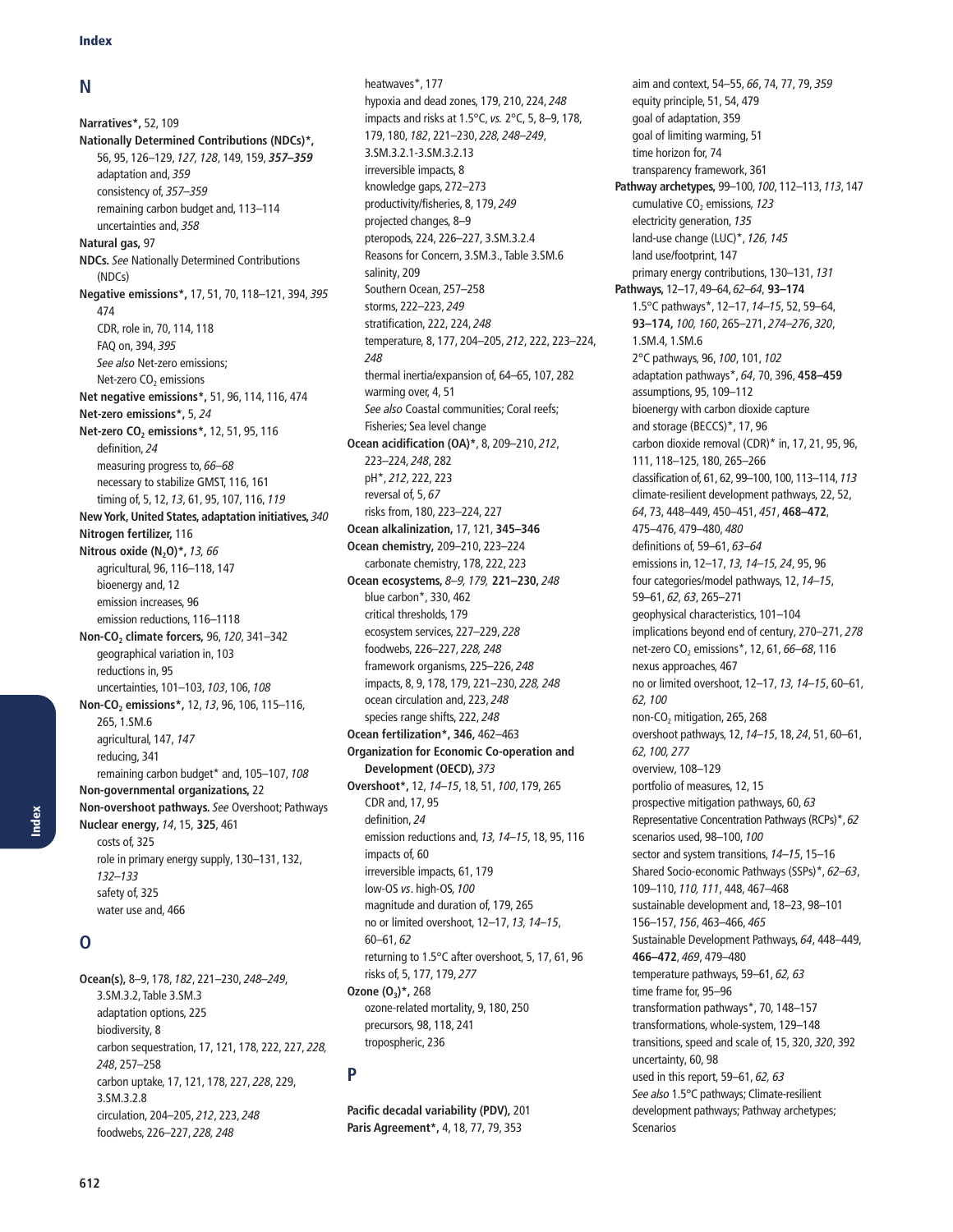#### **N**

**Narratives\*,** 52, 109 **Nationally Determined Contributions (NDCs)\*,**  56, 95, 126–129, 127, 128, 149, 159, *357–359* adaptation and, 359 consistency of, 357–359 remaining carbon budget and, 113–114 uncertainties and, 358 **Natural gas,** 97 **NDCs.** See Nationally Determined Contributions (NDCs) **Negative emissions\*,** 17, 51, 70, 118–121, 394, 395 474 CDR, role in, 70, 114, 118 FAQ on, 394, 395 See also Net-zero emissions; Net-zero CO<sub>2</sub> emissions **Net negative emissions\*,** 51, 96, 114, 116, 474 **Net-zero emissions\*,** 5, 24 **Net-zero CO<sub>2</sub> emissions\*, 12, 51, 95, 116** definition, 24 measuring progress to, 66–68 necessary to stabilize GMST, 116, 161 timing of, 5, 12, 13, 61, 95, 107, 116, 119 **New York, United States, adaptation initiatives,** 340 **Nitrogen fertilizer,** 116 **Nitrous oxide (N<sub>2</sub>O)\*, 13, 66** agricultural, 96, 116–118, 147 bioenergy and, 12 emission increases, 96 emission reductions, 116–1118 **Non-CO2 climate forcers,** 96, 120, 341–342 geographical variation in, 103 reductions in, 95 uncertainties, 101–103, 103, 106, 108 **Non-CO2 emissions\*,** 12, 13, 96, 106, 115–116, 265, 1.SM.6 agricultural, 147, 147 reducing, 341 remaining carbon budget\* and, 105–107, 108 **Non-governmental organizations,** 22 **Non-overshoot pathways.** See Overshoot; Pathways **Nuclear energy,** 14, 15, **325**, 461 costs of, 325 role in primary energy supply, 130–131, 132, 132–133 safety of, 325 water use and, 466

# **O**

**Ocean(s),** 8–9, 178, 182, 221–230, 248–249, 3.SM.3.2, Table 3.SM.3 adaptation options, 225 biodiversity, 8 carbon sequestration, 17, 121, 178, 222, 227, 228, 248, 257–258 carbon uptake, 17, 121, 178, 227, 228, 229, 3.SM.3.2.8 circulation, 204–205, 212, 223, 248 foodwebs, 226–227, 228, 248

heatwaves\*, 177 hypoxia and dead zones, 179, 210, 224, 248 impacts and risks at 1.5°C, vs. 2°C, 5, 8–9, 178, 179, 180, 182, 221–230, 228, 248–249, 3.SM.3.2.1-3.SM.3.2.13 irreversible impacts, 8 knowledge gaps, 272–273 productivity/fisheries, 8, 179, 249 projected changes, 8–9 pteropods, 224, 226–227, 3.SM.3.2.4 Reasons for Concern, 3.SM.3., Table 3.SM.6 salinity, 209 Southern Ocean, 257–258 storms, 222–223, 249 stratification, 222, 224, 248 temperature, 8, 177, 204–205, 212, 222, 223–224, 248 thermal inertia/expansion of, 64–65, 107, 282 warming over, 4, 51 See also Coastal communities; Coral reefs; Fisheries; Sea level change **Ocean acidification (OA)\***, 8, 209–210, 212, 223–224, 248, 282 pH\*, 212, 222, 223 reversal of, 5, 67 risks from, 180, 223–224, 227 **Ocean alkalinization,** 17, 121, **345–346 Ocean chemistry,** 209–210, 223–224 carbonate chemistry, 178, 222, 223 **Ocean ecosystems,** 8–9, 179, **221–230,** 248 blue carbon\*, 330, 462 critical thresholds, 179 ecosystem services, 227–229, 228 foodwebs, 226–227, 228, 248 framework organisms, 225–226, 248 impacts, 8, 9, 178, 179, 221–230, 228, 248 ocean circulation and, 223, 248 species range shifts, 222, 248 **Ocean fertilization\*, 346,** 462–463 **Organization for Economic Co-operation and Development (OECD),** 373 **Overshoot\*,** 12, 14–15, 18, 51, 100, 179, 265 CDR and, 17, 95 definition, 24 emission reductions and, 13, 14–15, 18, 95, 116 impacts of, 60 irreversible impacts, 61, 179 low-OS vs. high-OS, 100 magnitude and duration of, 179, 265 no or limited overshoot, 12–17, 13, 14–15, 60–61, 62 returning to 1.5°C after overshoot, 5, 17, 61, 96 risks of, 5, 177, 179, 277 **Ozone (O3)\*,** 268 ozone-related mortality, 9, 180, 250 precursors, 98, 118, 241 tropospheric, 236

## **P**

**Pacific decadal variability (PDV),** 201 **Paris Agreement\*,** 4, 18, 77, 79, 353

aim and context, 54–55, 66, 74, 77, 79, 359 equity principle, 51, 54, 479 goal of adaptation, 359 goal of limiting warming, 51 time horizon for, 74 transparency framework, 361 **Pathway archetypes,** 99–100, 100, 112–113, 113, 147 cumulative CO<sub>2</sub> emissions, 123 electricity generation, 135 land-use change (LUC)\*, 126, 145 land use/footprint, 147 primary energy contributions, 130–131, 131 **Pathways,** 12–17, 49–64, 62–64, **93–174** 1.5°C pathways\*, 12–17, 14–15, 52, 59–64, **93–174,** 100, 160, 265–271, 274–276, 320, 1.SM.4, 1.SM.6 2°C pathways, 96, 100, 101, 102 adaptation pathways\*, 64, 70, 396, **458–459** assumptions, 95, 109–112 bioenergy with carbon dioxide capture and storage (BECCS)\*, 17, 96 carbon dioxide removal (CDR)\* in, 17, 21, 95, 96, 111, 118–125, 180, 265–266 classification of, 61, 62, 99–100, 100, 113–114, 113 climate-resilient development pathways, 22, 52, 64, 73, 448–449, 450–451, 451, **468–472**, 475–476, 479–480, 480 definitions of, 59–61, 63–64 emissions in, 12–17, 13, 14–15, 24, 95, 96 four categories/model pathways, 12, 14–15, 59–61, 62, 63, 265–271 geophysical characteristics, 101–104 implications beyond end of century, 270–271, 278 net-zero CO<sub>2</sub> emissions\*, 12, 61, 66–68, 116 nexus approaches, 467 no or limited overshoot, 12–17, 13, 14–15, 60–61, 62, 100 non-CO<sub>2</sub> mitigation, 265, 268 overshoot pathways, 12, 14–15, 18, 24, 51, 60–61, 62, 100, 277 overview, 108–129 portfolio of measures, 12, 15 prospective mitigation pathways, 60, 63 Representative Concentration Pathways (RCPs)\*, 62 scenarios used, 98–100, 100 sector and system transitions, 14-15, 15-16 Shared Socio-economic Pathways (SSPs)\*, 62–63, 109–110, 110, 111, 448, 467–468 sustainable development and, 18–23, 98–101 156–157, 156, 463–466, 465 Sustainable Development Pathways, 64, 448–449, **466–472**, 469, 479–480 temperature pathways, 59–61, 62, 63 time frame for, 95–96 transformation pathways\*, 70, 148–157 transformations, whole-system, 129–148 transitions, speed and scale of, 15, 320, 320, 392 uncertainty, 60, 98 used in this report, 59–61, 62, 63 See also 1.5°C pathways; Climate-resilient development pathways; Pathway archetypes; Scenarios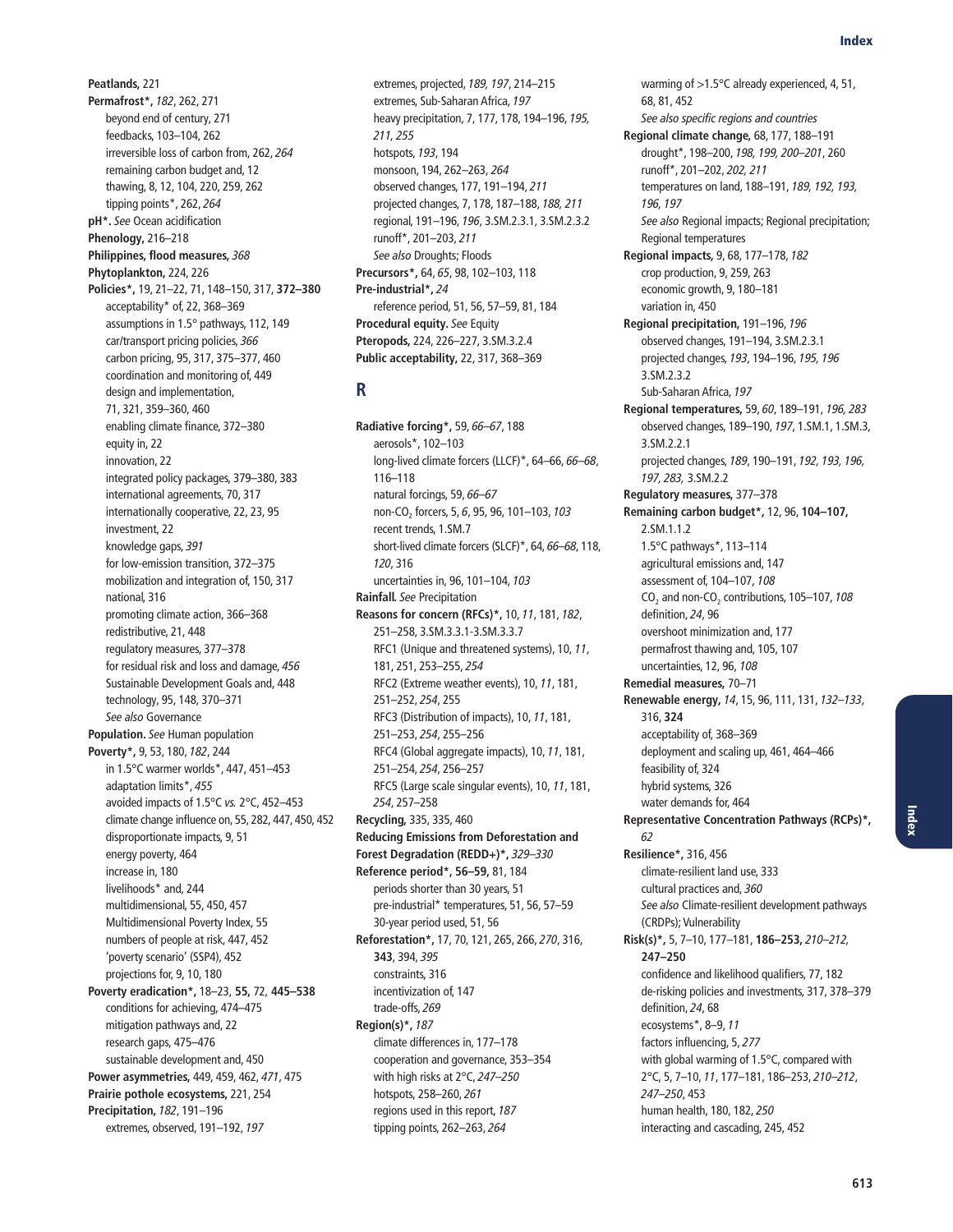**Peatlands,** 221 **Permafrost\*,** 182, 262, 271 beyond end of century, 271 feedbacks, 103–104, 262 irreversible loss of carbon from, 262, 264 remaining carbon budget and, 12 thawing, 8, 12, 104, 220, 259, 262 tipping points\*, 262, 264 **pH\*.** See Ocean acidification **Phenology,** 216–218 **Philippines, flood measures,** 368 **Phytoplankton,** 224, 226 **Policies\*,** 19, 21–22, 71, 148–150, 317, **372–380** acceptability\* of, 22, 368–369 assumptions in 1.5° pathways, 112, 149 car/transport pricing policies, 366 carbon pricing, 95, 317, 375–377, 460 coordination and monitoring of, 449 design and implementation, 71, 321, 359–360, 460 enabling climate finance, 372–380 equity in, 22 innovation, 22 integrated policy packages, 379–380, 383 international agreements, 70, 317 internationally cooperative, 22, 23, 95 investment, 22 knowledge gaps, 391 for low-emission transition, 372–375 mobilization and integration of, 150, 317 national, 316 promoting climate action, 366–368 redistributive, 21, 448 regulatory measures, 377–378 for residual risk and loss and damage, 456 Sustainable Development Goals and, 448 technology, 95, 148, 370–371 See also Governance **Population.** See Human population **Poverty\*,** 9, 53, 180, 182, 244 in 1.5°C warmer worlds\*, 447, 451–453 adaptation limits\*, 455 avoided impacts of 1.5°C vs. 2°C, 452–453 climate change influence on, 55, 282, 447, 450, 452 disproportionate impacts, 9, 51 energy poverty, 464 increase in, 180 livelihoods\* and, 244 multidimensional, 55, 450, 457 Multidimensional Poverty Index, 55 numbers of people at risk, 447, 452 'poverty scenario' (SSP4), 452 projections for, 9, 10, 180 **Poverty eradication\*,** 18–23, **55,** 72, **445–538** conditions for achieving, 474–475 mitigation pathways and, 22 research gaps, 475–476 sustainable development and, 450 **Power asymmetries,** 449, 459, 462, 471, 475 **Prairie pothole ecosystems,** 221, 254 **Precipitation,** 182, 191–196 extremes, observed, 191–192, 197

extremes, projected, 189, 197, 214–215 extremes, Sub-Saharan Africa, 197 heavy precipitation, 7, 177, 178, 194–196, 195, 211, 255 hotspots, 193, 194 monsoon, 194, 262–263, 264 observed changes, 177, 191–194, 211 projected changes, 7, 178, 187–188, 188, 211 regional, 191–196, 196, 3.SM.2.3.1, 3.SM.2.3.2 runoff\*, 201–203, 211 See also Droughts; Floods **Precursors\*,** 64, 65, 98, 102–103, 118 **Pre-industrial\*,** 24 reference period, 51, 56, 57–59, 81, 184 **Procedural equity.** See Equity **Pteropods,** 224, 226–227, 3.SM.3.2.4 **Public acceptability,** 22, 317, 368–369

## **R**

**Radiative forcing\*,** 59, 66–67, 188 aerosols\*, 102–103 long-lived climate forcers (LLCF)\*, 64–66, 66–68, 116–118 natural forcings, 59, 66–67 non-CO<sub>2</sub> forcers, 5, 6, 95, 96, 101-103, 103 recent trends, 1.SM.7 short-lived climate forcers (SLCF)\*, 64, 66–68, 118, 120, 316 uncertainties in, 96, 101–104, 103 **Rainfall.** See Precipitation **Reasons for concern (RFCs)\*,** 10, 11, 181, 182, 251–258, 3.SM.3.3.1-3.SM.3.3.7 RFC1 (Unique and threatened systems), 10, 11, 181, 251, 253–255, 254 RFC2 (Extreme weather events), 10, 11, 181, 251–252, 254, 255 RFC3 (Distribution of impacts), 10, 11, 181, 251–253, 254, 255–256 RFC4 (Global aggregate impacts), 10, 11, 181, 251–254, 254, 256–257 RFC5 (Large scale singular events), 10, 11, 181, 254, 257–258 **Recycling,** 335, 335, 460 **Reducing Emissions from Deforestation and Forest Degradation (REDD+)\*,** 329–330 **Reference period\*, 56–59,** 81, 184 periods shorter than 30 years, 51 pre-industrial\* temperatures, 51, 56, 57–59 30-year period used, 51, 56 **Reforestation\*,** 17, 70, 121, 265, 266, 270, 316, **343**, 394, 395 constraints, 316 incentivization of, 147 trade-offs, 269 **Region(s)\*,** 187 climate differences in, 177–178 cooperation and governance, 353–354 with high risks at 2°C, 247–250 hotspots, 258–260, 261 regions used in this report, 187 tipping points, 262–263, 264

68, 81, 452 See also specific regions and countries **Regional climate change,** 68, 177, 188–191 drought\*, 198–200, 198, 199, 200–201, 260 runoff\*, 201–202, 202, 211 temperatures on land, 188–191, 189, 192, 193, 196, 197 See also Regional impacts; Regional precipitation; Regional temperatures **Regional impacts,** 9, 68, 177–178, 182 crop production, 9, 259, 263 economic growth, 9, 180–181 variation in, 450 **Regional precipitation,** 191–196, 196 observed changes, 191–194, 3.SM.2.3.1 projected changes, 193, 194–196, 195, 196 3.SM.2.3.2 Sub-Saharan Africa, 197 **Regional temperatures,** 59, 60, 189–191, 196, 283 observed changes, 189–190, 197, 1.SM.1, 1.SM.3, 3.SM.2.2.1 projected changes, 189, 190–191, 192, 193, 196, 197, 283, 3.SM.2.2 **Regulatory measures,** 377–378 **Remaining carbon budget\*,** 12, 96, **104–107,** 2.SM.1.1.2 1.5°C pathways\*, 113–114 agricultural emissions and, 147 assessment of, 104–107, 108  $CO<sub>2</sub>$  and non-CO<sub>2</sub> contributions, 105-107, 108 definition, 24, 96 overshoot minimization and, 177 permafrost thawing and, 105, 107 uncertainties, 12, 96, 108 **Remedial measures,** 70–71 **Renewable energy,** 14, 15, 96, 111, 131, 132–133, 316, **324** acceptability of, 368–369 deployment and scaling up, 461, 464–466 feasibility of, 324 hybrid systems, 326 water demands for, 464 **Representative Concentration Pathways (RCPs)\*,** 62 **Resilience\*,** 316, 456 climate-resilient land use, 333 cultural practices and, 360 See also Climate-resilient development pathways (CRDPs); Vulnerability **Risk(s)\*,** 5, 7–10, 177–181, **186–253,** 210–212, **247–250** confidence and likelihood qualifiers, 77, 182 de-risking policies and investments, 317, 378–379 definition, 24, 68 ecosystems\*, 8–9, 11 factors influencing, 5, 277 with global warming of 1.5°C, compared with 2°C, 5, 7–10, 11, 177–181, 186–253, 210–212, 247–250, 453 human health, 180, 182, 250 interacting and cascading, 245, 452

warming of >1.5°C already experienced, 4, 51,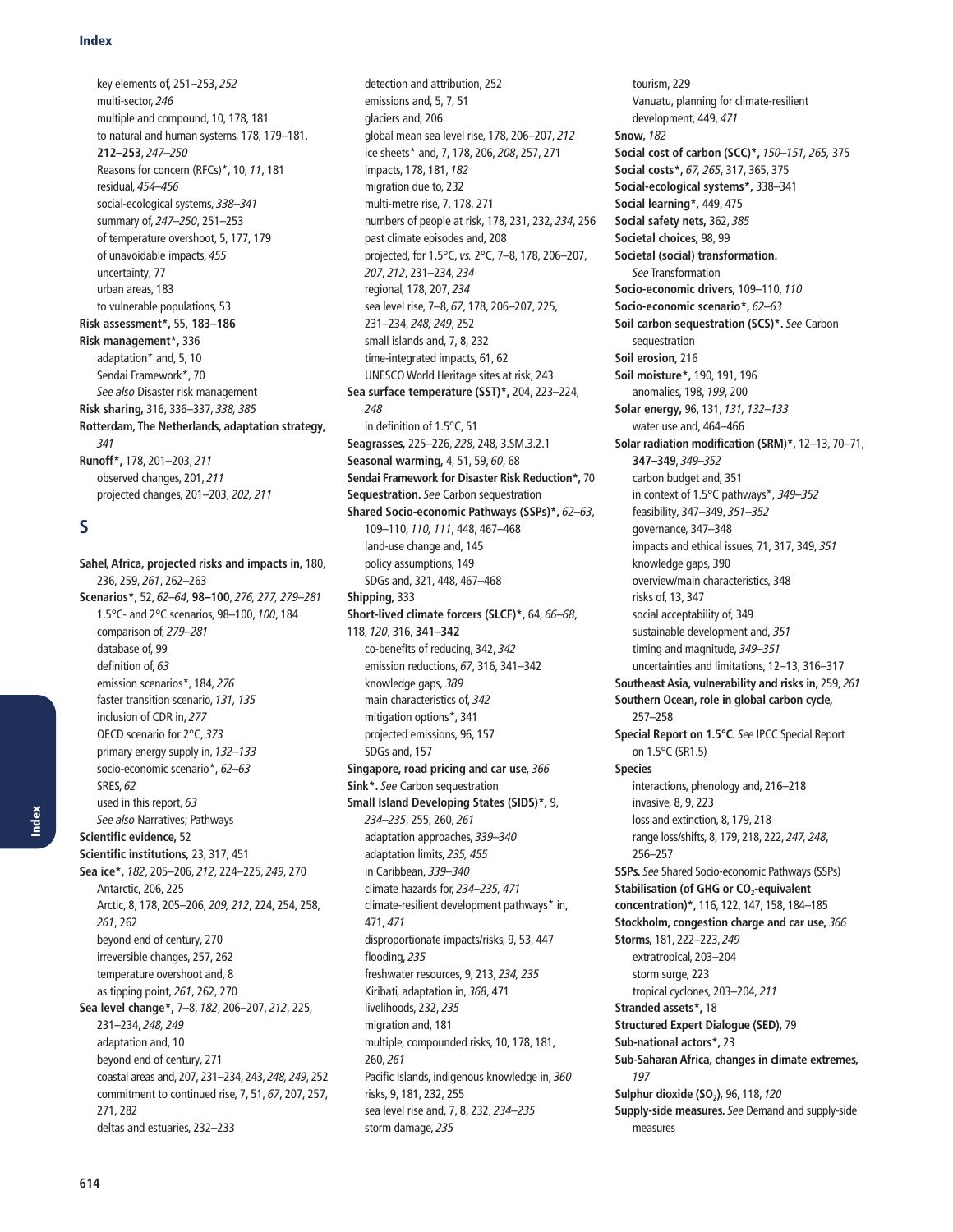key elements of, 251–253, 252 multi-sector, 246 multiple and compound, 10, 178, 181 to natural and human systems, 178, 179–181, **212–253**, 247–250 Reasons for concern (RFCs)\*, 10, 11, 181 residual, 454–456 social-ecological systems, 338–341 summary of, 247–250, 251–253 of temperature overshoot, 5, 177, 179 of unavoidable impacts, 455 uncertainty, 77 urban areas, 183 to vulnerable populations, 53 **Risk assessment\*,** 55, **183–186 Risk management\*,** 336 adaptation\* and, 5, 10 Sendai Framework\*, 70 See also Disaster risk management **Risk sharing,** 316, 336–337, 338, 385 **Rotterdam, The Netherlands, adaptation strategy,** 341 **Runoff\*,** 178, 201–203, 211 observed changes, 201, 211 projected changes, 201–203, 202, 211

## **S**

**Sahel, Africa, projected risks and impacts in,** 180, 236, 259, 261, 262–263 **Scenarios\*,** 52, 62–64, **98–100**, 276, 277, 279–281 1.5°C- and 2°C scenarios, 98–100, 100, 184 comparison of, 279–281 database of, 99 definition of, 63 emission scenarios\*, 184, 276 faster transition scenario, 131, 135 inclusion of CDR in, 277 OECD scenario for 2°C, 373 primary energy supply in, 132–133 socio-economic scenario\*, 62–63 SRES, 62 used in this report, 63 See also Narratives; Pathways **Scientific evidence,** 52 **Scientific institutions,** 23, 317, 451 **Sea ice\*,** 182, 205–206, 212, 224–225, 249, 270 Antarctic, 206, 225 Arctic, 8, 178, 205–206, 209, 212, 224, 254, 258, 261, 262 beyond end of century, 270 irreversible changes, 257, 262 temperature overshoot and, 8 as tipping point, 261, 262, 270 **Sea level change\*,** 7–8, 182, 206–207, 212, 225, 231–234, 248, 249 adaptation and, 10 beyond end of century, 271 coastal areas and, 207, 231–234, 243, 248, 249, 252 commitment to continued rise, 7, 51, 67, 207, 257, 271, 282 deltas and estuaries, 232–233

detection and attribution, 252 emissions and, 5, 7, 51 glaciers and, 206 global mean sea level rise, 178, 206–207, 212 ice sheets\* and, 7, 178, 206, 208, 257, 271 impacts, 178, 181, 182 migration due to, 232 multi-metre rise, 7, 178, 271 numbers of people at risk, 178, 231, 232, 234, 256 past climate episodes and, 208 projected, for 1.5°C, vs. 2°C, 7–8, 178, 206–207, 207, 212, 231–234, 234 regional, 178, 207, 234 sea level rise, 7–8, 67, 178, 206–207, 225, 231–234, 248, 249, 252 small islands and, 7, 8, 232 time-integrated impacts, 61, 62 UNESCO World Heritage sites at risk, 243 **Sea surface temperature (SST)\*,** 204, 223–224, 248 in definition of 1.5°C, 51 **Seagrasses,** 225–226, 228, 248, 3.SM.3.2.1 **Seasonal warming,** 4, 51, 59, 60, 68 **Sendai Framework for Disaster Risk Reduction\*,** 70 **Sequestration.** See Carbon sequestration **Shared Socio-economic Pathways (SSPs)\*,** 62–63, 109–110, 110, 111, 448, 467–468 land-use change and, 145 policy assumptions, 149 SDGs and, 321, 448, 467–468 **Shipping,** 333 **Short-lived climate forcers (SLCF)\*,** 64, 66–68, 118, 120, 316, **341–342** co-benefits of reducing, 342, 342 emission reductions, 67, 316, 341–342 knowledge gaps, 389 main characteristics of, 342 mitigation options\*, 341 projected emissions, 96, 157 SDGs and, 157 **Singapore, road pricing and car use,** 366 **Sink\*.** See Carbon sequestration **Small Island Developing States (SIDS)\*,** 9, 234–235, 255, 260, 261 adaptation approaches, 339–340 adaptation limits, 235, 455 in Caribbean, 339–340 climate hazards for, 234–235, 471 climate-resilient development pathways\* in, 471, 471 disproportionate impacts/risks, 9, 53, 447 flooding, 235 freshwater resources, 9, 213, 234, 235 Kiribati, adaptation in, 368, 471 livelihoods, 232, 235 migration and, 181 multiple, compounded risks, 10, 178, 181, 260, 261 Pacific Islands, indigenous knowledge in, 360 risks, 9, 181, 232, 255 sea level rise and, 7, 8, 232, 234–235 storm damage, 235

tourism, 229 Vanuatu, planning for climate-resilient development, 449, 471 **Snow,** 182 **Social cost of carbon (SCC)\*,** 150–151, 265, 375 **Social costs\*,** 67, 265, 317, 365, 375 **Social-ecological systems\*,** 338–341 **Social learning\*,** 449, 475 **Social safety nets,** 362, 385 **Societal choices,** 98, 99 **Societal (social) transformation.**  See Transformation **Socio-economic drivers,** 109–110, 110 **Socio-economic scenario\*,** 62–63 **Soil carbon sequestration (SCS)\*.** See Carbon sequestration **Soil erosion,** 216 **Soil moisture\*,** 190, 191, 196 anomalies, 198, 199, 200 **Solar energy,** 96, 131, 131, 132–133 water use and, 464–466 **Solar radiation modification (SRM)\*,** 12–13, 70–71, **347–349**, 349–352 carbon budget and, 351 in context of 1.5°C pathways\*, 349–352 feasibility, 347–349, 351–352 governance, 347–348 impacts and ethical issues, 71, 317, 349, 351 knowledge gaps, 390 overview/main characteristics, 348 risks of, 13, 347 social acceptability of, 349 sustainable development and, 351 timing and magnitude, 349–351 uncertainties and limitations, 12–13, 316–317 **Southeast Asia, vulnerability and risks in,** 259, 261 **Southern Ocean, role in global carbon cycle,** 257–258 **Special Report on 1.5°C.** See IPCC Special Report on 1.5°C (SR1.5) **Species** interactions, phenology and, 216–218 invasive, 8, 9, 223 loss and extinction, 8, 179, 218 range loss/shifts, 8, 179, 218, 222, 247, 248, 256–257 **SSPs.** See Shared Socio-economic Pathways (SSPs) **Stabilisation (of GHG or CO<sub>2</sub>-equivalent concentration)\*,** 116, 122, 147, 158, 184–185 **Stockholm, congestion charge and car use,** 366 **Storms,** 181, 222–223, 249 extratropical, 203–204 storm surge, 223 tropical cyclones, 203–204, 211 **Stranded assets\*,** 18 **Structured Expert Dialogue (SED),** 79 **Sub-national actors\*,** 23 **Sub-Saharan Africa, changes in climate extremes,** 197 **Sulphur dioxide (SO<sub>2</sub>), 96, 118, 120 Supply-side measures.** See Demand and supply-side measures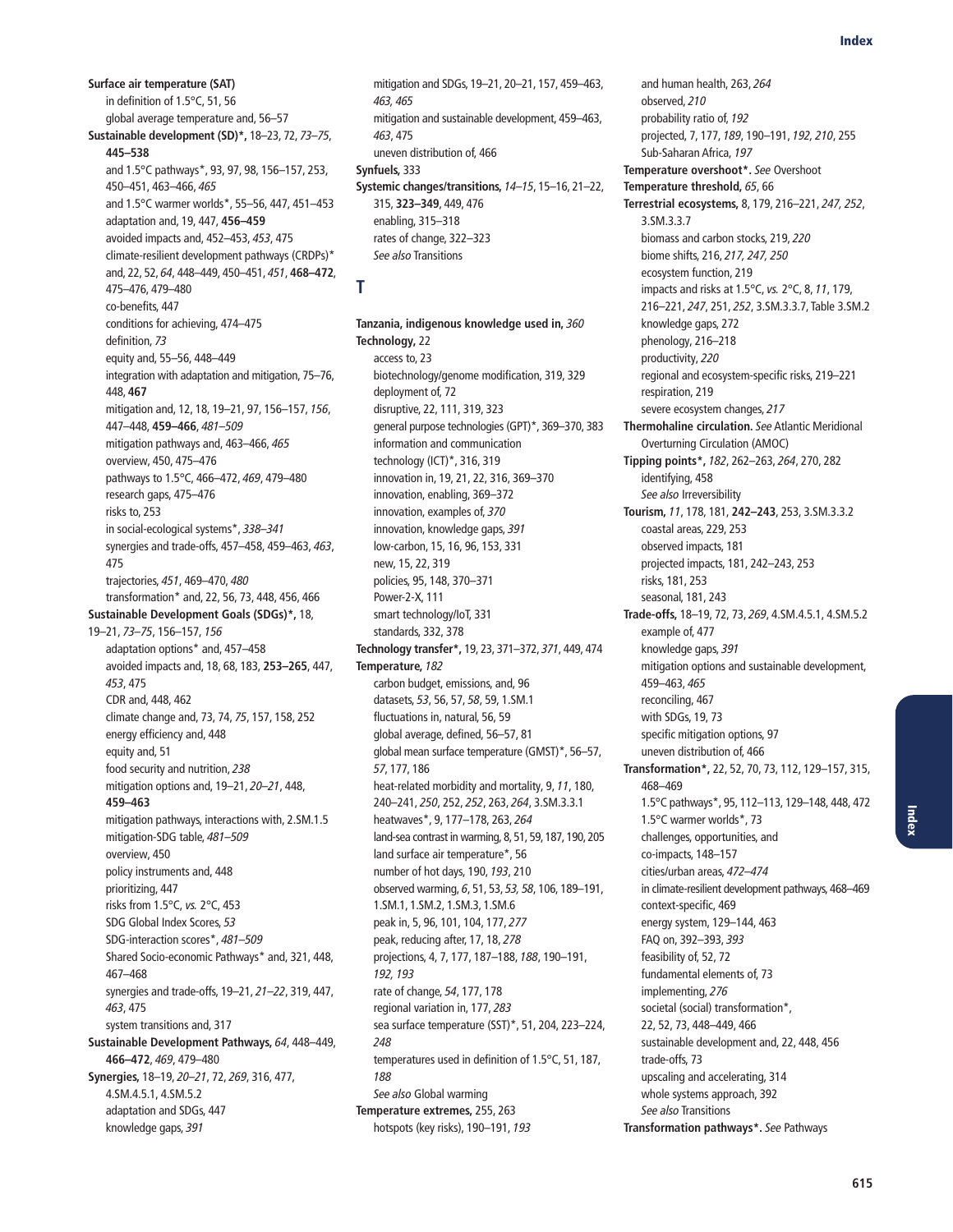**Surface air temperature (SAT)** in definition of 1.5°C, 51, 56 global average temperature and, 56–57 **Sustainable development (SD)\*,** 18–23, 72, 73–75, **445–538** and 1.5°C pathways\*, 93, 97, 98, 156–157, 253, 450–451, 463–466, 465 and 1.5°C warmer worlds\*, 55–56, 447, 451–453 adaptation and, 19, 447, **456–459** avoided impacts and, 452–453, 453, 475 climate-resilient development pathways (CRDPs)\* and, 22, 52, 64, 448–449, 450–451, 451, **468–472**, 475–476, 479–480 co-benefits, 447 conditions for achieving, 474–475 definition, 73 equity and, 55–56, 448–449 integration with adaptation and mitigation, 75–76, 448, **467** mitigation and, 12, 18, 19–21, 97, 156–157, 156, 447–448, **459–466**, 481–509 mitigation pathways and, 463–466, 465 overview, 450, 475–476 pathways to 1.5°C, 466–472, 469, 479–480 research gaps, 475–476 risks to, 253 in social-ecological systems\*, 338–341 synergies and trade-offs, 457–458, 459–463, 463, 475 trajectories, 451, 469–470, 480 transformation\* and, 22, 56, 73, 448, 456, 466 **Sustainable Development Goals (SDGs)\*,** 18, 19–21, 73–75, 156–157, 156 adaptation options\* and, 457–458 avoided impacts and, 18, 68, 183, **253–265**, 447, 453, 475 CDR and, 448, 462 climate change and, 73, 74, 75, 157, 158, 252 energy efficiency and, 448 equity and, 51 food security and nutrition, 238 mitigation options and, 19–21, 20–21, 448, **459–463** mitigation pathways, interactions with, 2.SM.1.5 mitigation-SDG table, 481–509 overview, 450 policy instruments and, 448 prioritizing, 447 risks from 1.5°C, vs. 2°C, 453 SDG Global Index Scores, 53 SDG-interaction scores\*, 481–509 Shared Socio-economic Pathways\* and, 321, 448, 467–468 synergies and trade-offs, 19–21, 21–22, 319, 447, 463, 475 system transitions and, 317 **Sustainable Development Pathways,** 64, 448–449, **466–472**, 469, 479–480 **Synergies,** 18–19, 20–21, 72, 269, 316, 477, 4.SM.4.5.1, 4.SM.5.2 adaptation and SDGs, 447 knowledge gaps, 391

mitigation and SDGs, 19–21, 20–21, 157, 459–463, 463, 465 mitigation and sustainable development, 459–463, 463, 475 uneven distribution of, 466 **Synfuels,** 333 **Systemic changes/transitions,** 14–15, 15–16, 21–22, 315, **323–349**, 449, 476 enabling, 315–318 rates of change, 322–323 See also Transitions

### **T**

**Tanzania, indigenous knowledge used in,** 360 **Technology,** 22 access to, 23 biotechnology/genome modification, 319, 329 deployment of, 72 disruptive, 22, 111, 319, 323 general purpose technologies (GPT)\*, 369–370, 383 information and communication technology (ICT)\*, 316, 319 innovation in, 19, 21, 22, 316, 369–370 innovation, enabling, 369–372 innovation, examples of, 370 innovation, knowledge gaps, 391 low-carbon, 15, 16, 96, 153, 331 new, 15, 22, 319 policies, 95, 148, 370–371 Power-2-X, 111 smart technology/IoT, 331 standards, 332, 378 **Technology transfer\*,** 19, 23, 371–372, 371, 449, 474 **Temperature,** 182 carbon budget, emissions, and, 96 datasets, 53, 56, 57, 58, 59, 1.SM.1 fluctuations in, natural, 56, 59 global average, defined, 56–57, 81 global mean surface temperature (GMST)\*, 56–57, 57, 177, 186 heat-related morbidity and mortality, 9, 11, 180, 240–241, 250, 252, 252, 263, 264, 3.SM.3.3.1 heatwaves\*, 9, 177–178, 263, 264 land-sea contrast in warming, 8, 51, 59, 187, 190, 205 land surface air temperature\*, 56 number of hot days, 190, 193, 210 observed warming, 6, 51, 53, 53, 58, 106, 189–191, 1.SM.1, 1.SM.2, 1.SM.3, 1.SM.6 peak in, 5, 96, 101, 104, 177, 277 peak, reducing after, 17, 18, 278 projections, 4, 7, 177, 187–188, 188, 190–191, 192, 193 rate of change, 54, 177, 178 regional variation in, 177, 283 sea surface temperature (SST)\*, 51, 204, 223–224, 248 temperatures used in definition of 1.5°C, 51, 187, 188 See also Global warming **Temperature extremes,** 255, 263 hotspots (key risks), 190–191, 193

and human health, 263, 264 observed, 210 probability ratio of, 192 projected, 7, 177, 189, 190–191, 192, 210, 255 Sub-Saharan Africa, 197 **Temperature overshoot\*.** See Overshoot **Temperature threshold,** 65, 66 **Terrestrial ecosystems,** 8, 179, 216–221, 247, 252, 3.SM.3.3.7 biomass and carbon stocks, 219, 220 biome shifts, 216, 217, 247, 250 ecosystem function, 219 impacts and risks at 1.5°C, vs. 2°C, 8, 11, 179, 216–221, 247, 251, 252, 3.SM.3.3.7, Table 3.SM.2 knowledge gaps, 272 phenology, 216–218 productivity, 220 regional and ecosystem-specific risks, 219–221 respiration, 219 severe ecosystem changes, 217 **Thermohaline circulation.** See Atlantic Meridional Overturning Circulation (AMOC) **Tipping points\*,** 182, 262–263, 264, 270, 282 identifying, 458 See also Irreversibility **Tourism,** 11, 178, 181, **242–243**, 253, 3.SM.3.3.2 coastal areas, 229, 253 observed impacts, 181 projected impacts, 181, 242–243, 253 risks, 181, 253 seasonal, 181, 243 **Trade-offs,** 18–19, 72, 73, 269, 4.SM.4.5.1, 4.SM.5.2 example of, 477 knowledge gaps, 391 mitigation options and sustainable development, 459–463, 465 reconciling, 467 with SDGs, 19, 73 specific mitigation options, 97 uneven distribution of, 466 **Transformation\*,** 22, 52, 70, 73, 112, 129–157, 315, 468–469 1.5°C pathways\*, 95, 112–113, 129–148, 448, 472 1.5°C warmer worlds\*, 73 challenges, opportunities, and co-impacts, 148–157 cities/urban areas, 472–474 in climate-resilient development pathways, 468–469 context-specific, 469 energy system, 129–144, 463 FAQ on, 392–393, 393 feasibility of, 52, 72 fundamental elements of, 73 implementing, 276 societal (social) transformation\*, 22, 52, 73, 448–449, 466 sustainable development and, 22, 448, 456 trade-offs, 73 upscaling and accelerating, 314 whole systems approach, 392 See also Transitions **Transformation pathways\*.** See Pathways